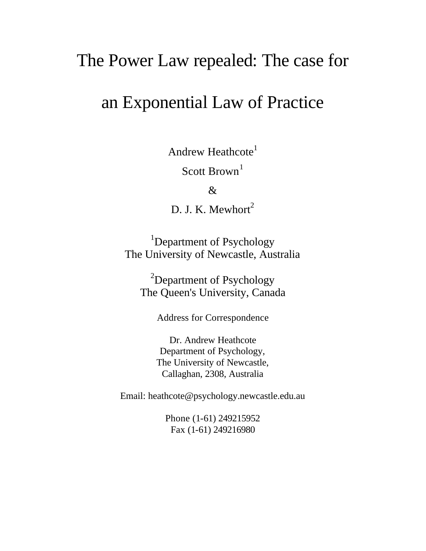# The Power Law repealed: The case for

# an Exponential Law of Practice

Andrew Heathcote<sup>1</sup>

Scott Brown<sup>1</sup>

&

D. J. K. Mewhort $2$ 

<sup>1</sup>Department of Psychology The University of Newcastle, Australia

 $2$ Department of Psychology The Queen's University, Canada

Address for Correspondence

Dr. Andrew Heathcote Department of Psychology, The University of Newcastle, Callaghan, 2308, Australia

Email: heathcote@psychology.newcastle.edu.au

Phone (1-61) 249215952 Fax (1-61) 249216980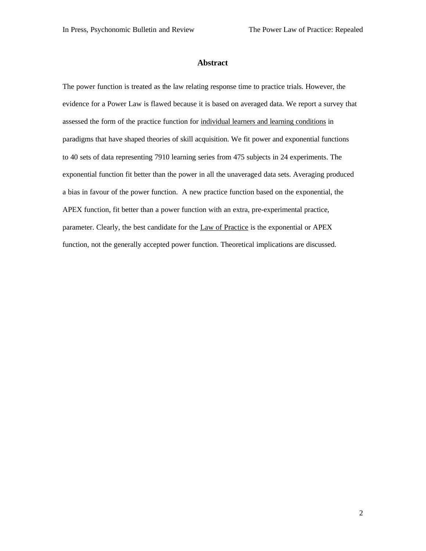#### **Abstract**

The power function is treated as the law relating response time to practice trials. However, the evidence for a Power Law is flawed because it is based on averaged data. We report a survey that assessed the form of the practice function for individual learners and learning conditions in paradigms that have shaped theories of skill acquisition. We fit power and exponential functions to 40 sets of data representing 7910 learning series from 475 subjects in 24 experiments. The exponential function fit better than the power in all the unaveraged data sets. Averaging produced a bias in favour of the power function. A new practice function based on the exponential, the APEX function, fit better than a power function with an extra, pre-experimental practice, parameter. Clearly, the best candidate for the Law of Practice is the exponential or APEX function, not the generally accepted power function. Theoretical implications are discussed.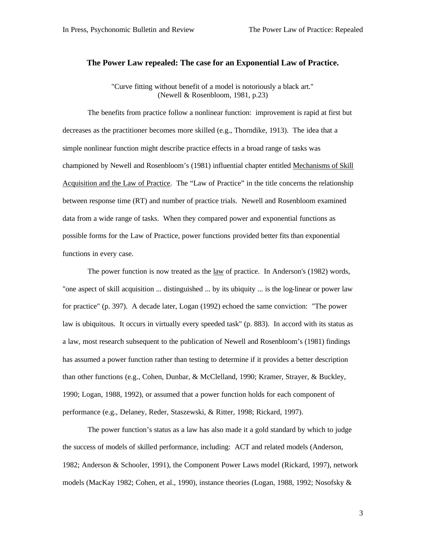## **The Power Law repealed: The case for an Exponential Law of Practice.**

"Curve fitting without benefit of a model is notoriously a black art." (Newell & Rosenbloom, 1981, p.23)

The benefits from practice follow a nonlinear function: improvement is rapid at first but decreases as the practitioner becomes more skilled (e.g., Thorndike, 1913). The idea that a simple nonlinear function might describe practice effects in a broad range of tasks was championed by Newell and Rosenbloom's (1981) influential chapter entitled Mechanisms of Skill Acquisition and the Law of Practice. The "Law of Practice" in the title concerns the relationship between response time (RT) and number of practice trials. Newell and Rosenbloom examined data from a wide range of tasks. When they compared power and exponential functions as possible forms for the Law of Practice, power functions provided better fits than exponential functions in every case.

The power function is now treated as the law of practice. In Anderson's (1982) words, "one aspect of skill acquisition ... distinguished ... by its ubiquity ... is the log-linear or power law for practice" (p. 397). A decade later, Logan (1992) echoed the same conviction: "The power law is ubiquitous. It occurs in virtually every speeded task" (p. 883). In accord with its status as a law, most research subsequent to the publication of Newell and Rosenbloom's (1981) findings has assumed a power function rather than testing to determine if it provides a better description than other functions (e.g., Cohen, Dunbar, & McClelland, 1990; Kramer, Strayer, & Buckley, 1990; Logan, 1988, 1992), or assumed that a power function holds for each component of performance (e.g., Delaney, Reder, Staszewski, & Ritter, 1998; Rickard, 1997).

The power function's status as a law has also made it a gold standard by which to judge the success of models of skilled performance, including: ACT and related models (Anderson, 1982; Anderson & Schooler, 1991), the Component Power Laws model (Rickard, 1997), network models (MacKay 1982; Cohen, et al., 1990), instance theories (Logan, 1988, 1992; Nosofsky &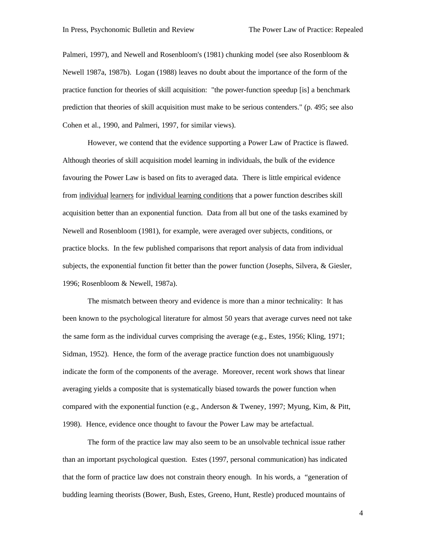Palmeri, 1997), and Newell and Rosenbloom's (1981) chunking model (see also Rosenbloom & Newell 1987a, 1987b). Logan (1988) leaves no doubt about the importance of the form of the practice function for theories of skill acquisition: "the power-function speedup [is] a benchmark prediction that theories of skill acquisition must make to be serious contenders." (p. 495; see also Cohen et al., 1990, and Palmeri, 1997, for similar views).

However, we contend that the evidence supporting a Power Law of Practice is flawed. Although theories of skill acquisition model learning in individuals, the bulk of the evidence favouring the Power Law is based on fits to averaged data. There is little empirical evidence from individual learners for individual learning conditions that a power function describes skill acquisition better than an exponential function. Data from all but one of the tasks examined by Newell and Rosenbloom (1981), for example, were averaged over subjects, conditions, or practice blocks. In the few published comparisons that report analysis of data from individual subjects, the exponential function fit better than the power function (Josephs, Silvera, & Giesler, 1996; Rosenbloom & Newell, 1987a).

The mismatch between theory and evidence is more than a minor technicality: It has been known to the psychological literature for almost 50 years that average curves need not take the same form as the individual curves comprising the average (e.g., Estes, 1956; Kling, 1971; Sidman, 1952). Hence, the form of the average practice function does not unambiguously indicate the form of the components of the average. Moreover, recent work shows that linear averaging yields a composite that is systematically biased towards the power function when compared with the exponential function (e.g., Anderson & Tweney, 1997; Myung, Kim, & Pitt, 1998). Hence, evidence once thought to favour the Power Law may be artefactual.

The form of the practice law may also seem to be an unsolvable technical issue rather than an important psychological question. Estes (1997, personal communication) has indicated that the form of practice law does not constrain theory enough. In his words, a "generation of budding learning theorists (Bower, Bush, Estes, Greeno, Hunt, Restle) produced mountains of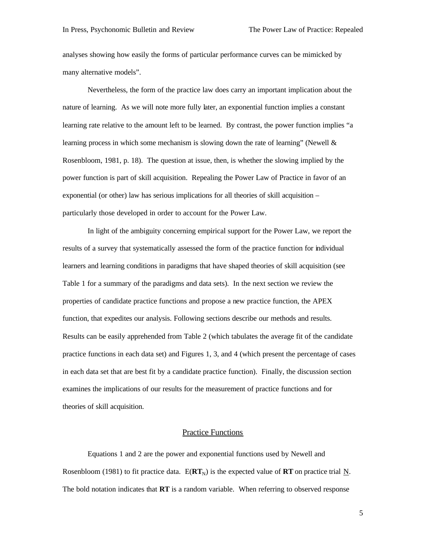analyses showing how easily the forms of particular performance curves can be mimicked by many alternative models".

Nevertheless, the form of the practice law does carry an important implication about the nature of learning. As we will note more fully later, an exponential function implies a constant learning rate relative to the amount left to be learned. By contrast, the power function implies "a learning process in which some mechanism is slowing down the rate of learning" (Newell  $\&$ Rosenbloom, 1981, p. 18). The question at issue, then, is whether the slowing implied by the power function is part of skill acquisition. Repealing the Power Law of Practice in favor of an exponential (or other) law has serious implications for all theories of skill acquisition – particularly those developed in order to account for the Power Law.

In light of the ambiguity concerning empirical support for the Power Law, we report the results of a survey that systematically assessed the form of the practice function for individual learners and learning conditions in paradigms that have shaped theories of skill acquisition (see Table 1 for a summary of the paradigms and data sets). In the next section we review the properties of candidate practice functions and propose a new practice function, the APEX function, that expedites our analysis. Following sections describe our methods and results. Results can be easily apprehended from Table 2 (which tabulates the average fit of the candidate practice functions in each data set) and Figures 1, 3, and 4 (which present the percentage of cases in each data set that are best fit by a candidate practice function). Finally, the discussion section examines the implications of our results for the measurement of practice functions and for theories of skill acquisition.

## **Practice Functions**

Equations 1 and 2 are the power and exponential functions used by Newell and Rosenbloom (1981) to fit practice data.  $E(RT_N)$  is the expected value of **RT** on practice trial N. The bold notation indicates that **RT** is a random variable. When referring to observed response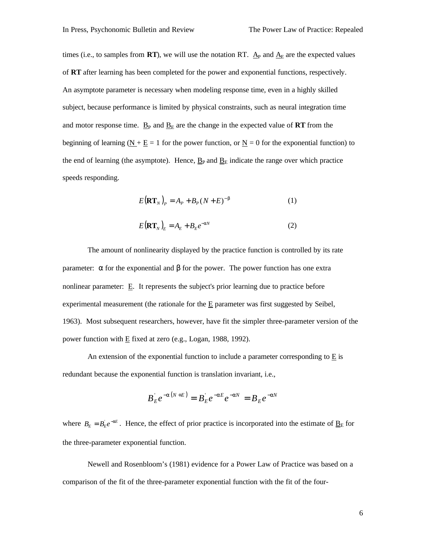times (i.e., to samples from  $\bf{RT}$ ), we will use the notation  $\bf{RT}$ . A<sub>P</sub> and  $\bf{A}_E$  are the expected values of **RT** after learning has been completed for the power and exponential functions, respectively. An asymptote parameter is necessary when modeling response time, even in a highly skilled subject, because performance is limited by physical constraints, such as neural integration time and motor response time.  $\underline{B}_P$  and  $\underline{B}_E$  are the change in the expected value of **RT** from the beginning of learning  $(N + E = 1$  for the power function, or  $N = 0$  for the exponential function) to the end of learning (the asymptote). Hence,  $\underline{B}_P$  and  $\underline{B}_E$  indicate the range over which practice speeds responding.

$$
E(RT_N)_P = A_P + B_P (N + E)^{-b}
$$
 (1)

$$
E(\mathbf{RT}_N)_E = A_E + B_E e^{-aN} \tag{2}
$$

The amount of nonlinearity displayed by the practice function is controlled by its rate parameter:  $\alpha$  for the exponential and β for the power. The power function has one extra nonlinear parameter: E. It represents the subject's prior learning due to practice before experimental measurement (the rationale for the E parameter was first suggested by Seibel, 1963). Most subsequent researchers, however, have fit the simpler three-parameter version of the power function with E fixed at zero (e.g., Logan, 1988, 1992).

An extension of the exponential function to include a parameter corresponding to E is redundant because the exponential function is translation invariant, i.e.,

$$
B_{E}^{\dagger}e^{-a(N+E)} = B_{E}^{\dagger}e^{-aE}e^{-aN} = B_{E}^{\dagger}e^{-aN}
$$

where  $B_E = B_E e^{-aE}$ . Hence, the effect of prior practice is incorporated into the estimate of  $\underline{B}_E$  for the three-parameter exponential function.

Newell and Rosenbloom's (1981) evidence for a Power Law of Practice was based on a comparison of the fit of the three-parameter exponential function with the fit of the four-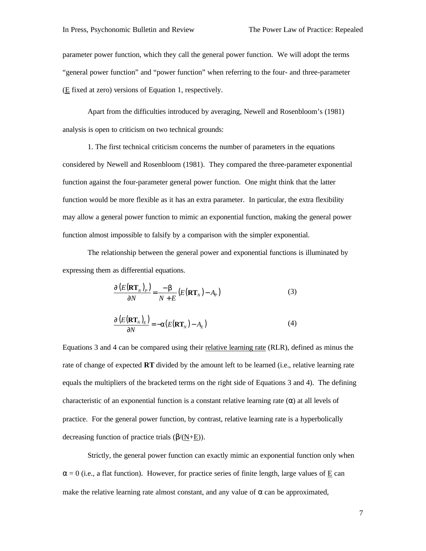parameter power function, which they call the general power function. We will adopt the terms "general power function" and "power function" when referring to the four- and three-parameter (E fixed at zero) versions of Equation 1, respectively.

Apart from the difficulties introduced by averaging, Newell and Rosenbloom's (1981) analysis is open to criticism on two technical grounds:

1. The first technical criticism concerns the number of parameters in the equations considered by Newell and Rosenbloom (1981). They compared the three-parameter exponential function against the four-parameter general power function. One might think that the latter function would be more flexible as it has an extra parameter. In particular, the extra flexibility may allow a general power function to mimic an exponential function, making the general power function almost impossible to falsify by a comparison with the simpler exponential.

The relationship between the general power and exponential functions is illuminated by expressing them as differential equations.

$$
\frac{\mathbf{I}\left(E(\mathbf{R}\mathbf{T}_{N})_{P}\right)}{\mathbf{I}\left(N\right)} = \frac{-b}{N+E}\left(E(\mathbf{R}\mathbf{T}_{N})-A_{P}\right)
$$
(3)

$$
\frac{\mathbf{I}\left(E(\mathbf{R}\mathbf{T}_{N})_{E}\right)}{\mathbf{I}\left(N\right)} = -\mathbf{a}\left(E(\mathbf{R}\mathbf{T}_{N}) - A_{E}\right) \tag{4}
$$

Equations 3 and 4 can be compared using their relative learning rate (RLR), defined as minus the rate of change of expected **RT** divided by the amount left to be learned (i.e., relative learning rate equals the multipliers of the bracketed terms on the right side of Equations 3 and 4). The defining characteristic of an exponential function is a constant relative learning rate  $(\alpha)$  at all levels of practice. For the general power function, by contrast, relative learning rate is a hyperbolically decreasing function of practice trials (β/(N+E)).

Strictly, the general power function can exactly mimic an exponential function only when  $\alpha = 0$  (i.e., a flat function). However, for practice series of finite length, large values of E can make the relative learning rate almost constant, and any value of  $\alpha$  can be approximated,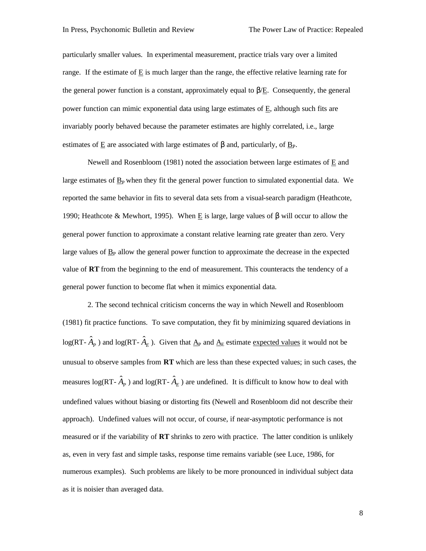particularly smaller values. In experimental measurement, practice trials vary over a limited range. If the estimate of  $E$  is much larger than the range, the effective relative learning rate for the general power function is a constant, approximately equal to  $\beta/\underline{E}$ . Consequently, the general power function can mimic exponential data using large estimates of E, although such fits are invariably poorly behaved because the parameter estimates are highly correlated, i.e., large estimates of E are associated with large estimates of  $\beta$  and, particularly, of B<sub>P</sub>.

Newell and Rosenbloom (1981) noted the association between large estimates of E and large estimates of  $B<sub>P</sub>$  when they fit the general power function to simulated exponential data. We reported the same behavior in fits to several data sets from a visual-search paradigm (Heathcote, 1990; Heathcote & Mewhort, 1995). When E is large, large values of β will occur to allow the general power function to approximate a constant relative learning rate greater than zero. Very large values of  $\underline{B}_P$  allow the general power function to approximate the decrease in the expected value of **RT** from the beginning to the end of measurement. This counteracts the tendency of a general power function to become flat when it mimics exponential data.

2. The second technical criticism concerns the way in which Newell and Rosenbloom (1981) fit practice functions. To save computation, they fit by minimizing squared deviations in  $log(RT - \hat{A}_P)$  and  $log(RT - \hat{A}_E)$ . Given that  $\underline{A}_P$  and  $\underline{A}_E$  estimate expected values it would not be unusual to observe samples from **RT** which are less than these expected values; in such cases, the measures  $log(RT - \hat{A}_P)$  and  $log(RT - \hat{A}_E)$  are undefined. It is difficult to know how to deal with undefined values without biasing or distorting fits (Newell and Rosenbloom did not describe their approach). Undefined values will not occur, of course, if near-asymptotic performance is not measured or if the variability of **RT** shrinks to zero with practice. The latter condition is unlikely as, even in very fast and simple tasks, response time remains variable (see Luce, 1986, for numerous examples). Such problems are likely to be more pronounced in individual subject data as it is noisier than averaged data.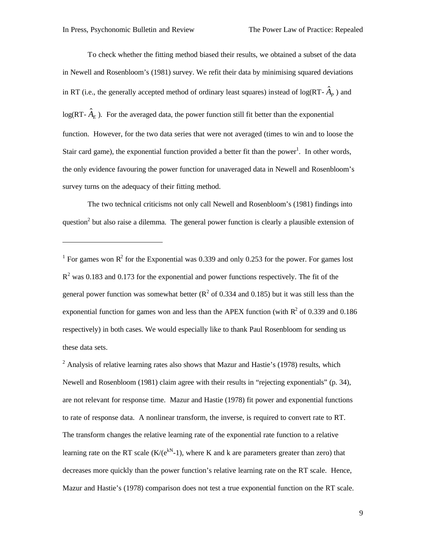1

To check whether the fitting method biased their results, we obtained a subset of the data in Newell and Rosenbloom's (1981) survey. We refit their data by minimising squared deviations in RT (i.e., the generally accepted method of ordinary least squares) instead of  $log(RT - \hat{A}_P)$  and  $log(RT - \hat{A}_E)$ . For the averaged data, the power function still fit better than the exponential function. However, for the two data series that were not averaged (times to win and to loose the Stair card game), the exponential function provided a better fit than the power<sup>1</sup>. In other words, the only evidence favouring the power function for unaveraged data in Newell and Rosenbloom's survey turns on the adequacy of their fitting method.

The two technical criticisms not only call Newell and Rosenbloom's (1981) findings into question<sup>2</sup> but also raise a dilemma. The general power function is clearly a plausible extension of

<sup>1</sup> For games won  $\mathbb{R}^2$  for the Exponential was 0.339 and only 0.253 for the power. For games lost  $R<sup>2</sup>$  was 0.183 and 0.173 for the exponential and power functions respectively. The fit of the general power function was somewhat better ( $\mathbb{R}^2$  of 0.334 and 0.185) but it was still less than the exponential function for games won and less than the APEX function (with  $R^2$  of 0.339 and 0.186 respectively) in both cases. We would especially like to thank Paul Rosenbloom for sending us these data sets.

 $2$  Analysis of relative learning rates also shows that Mazur and Hastie's (1978) results, which Newell and Rosenbloom (1981) claim agree with their results in "rejecting exponentials" (p. 34), are not relevant for response time. Mazur and Hastie (1978) fit power and exponential functions to rate of response data. A nonlinear transform, the inverse, is required to convert rate to RT. The transform changes the relative learning rate of the exponential rate function to a relative learning rate on the RT scale  $(K/(e^{kN}-1))$ , where K and k are parameters greater than zero) that decreases more quickly than the power function's relative learning rate on the RT scale. Hence, Mazur and Hastie's (1978) comparison does not test a true exponential function on the RT scale.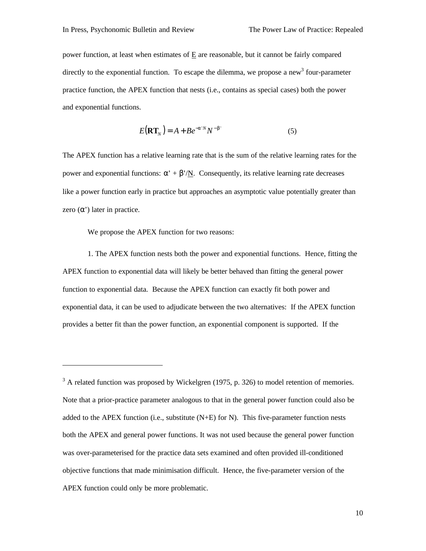power function, at least when estimates of E are reasonable, but it cannot be fairly compared directly to the exponential function. To escape the dilemma, we propose a new<sup>3</sup> four-parameter practice function, the APEX function that nests (i.e., contains as special cases) both the power and exponential functions.

$$
E(\mathbf{RT}_N) = A + B e^{-a^N N} N^{-b^N}
$$
 (5)

The APEX function has a relative learning rate that is the sum of the relative learning rates for the power and exponential functions:  $\alpha' + \beta'/N$ . Consequently, its relative learning rate decreases like a power function early in practice but approaches an asymptotic value potentially greater than zero  $(\alpha')$  later in practice.

We propose the APEX function for two reasons:

1

1. The APEX function nests both the power and exponential functions. Hence, fitting the APEX function to exponential data will likely be better behaved than fitting the general power function to exponential data. Because the APEX function can exactly fit both power and exponential data, it can be used to adjudicate between the two alternatives: If the APEX function provides a better fit than the power function, an exponential component is supported. If the

 $3$  A related function was proposed by Wickelgren (1975, p. 326) to model retention of memories. Note that a prior-practice parameter analogous to that in the general power function could also be added to the APEX function (i.e., substitute  $(N+E)$  for N). This five-parameter function nests both the APEX and general power functions. It was not used because the general power function was over-parameterised for the practice data sets examined and often provided ill-conditioned objective functions that made minimisation difficult. Hence, the five-parameter version of the APEX function could only be more problematic.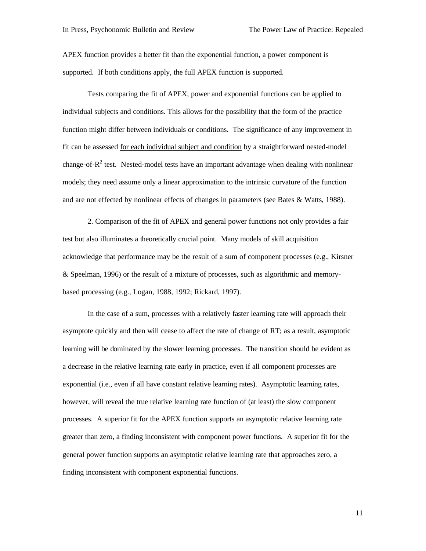APEX function provides a better fit than the exponential function, a power component is supported. If both conditions apply, the full APEX function is supported.

Tests comparing the fit of APEX, power and exponential functions can be applied to individual subjects and conditions. This allows for the possibility that the form of the practice function might differ between individuals or conditions. The significance of any improvement in fit can be assessed for each individual subject and condition by a straightforward nested-model change-of- $R^2$  test. Nested-model tests have an important advantage when dealing with nonlinear models; they need assume only a linear approximation to the intrinsic curvature of the function and are not effected by nonlinear effects of changes in parameters (see Bates & Watts, 1988).

2. Comparison of the fit of APEX and general power functions not only provides a fair test but also illuminates a theoretically crucial point. Many models of skill acquisition acknowledge that performance may be the result of a sum of component processes (e.g., Kirsner & Speelman, 1996) or the result of a mixture of processes, such as algorithmic and memorybased processing (e.g., Logan, 1988, 1992; Rickard, 1997).

In the case of a sum, processes with a relatively faster learning rate will approach their asymptote quickly and then will cease to affect the rate of change of RT; as a result, asymptotic learning will be dominated by the slower learning processes. The transition should be evident as a decrease in the relative learning rate early in practice, even if all component processes are exponential (i.e., even if all have constant relative learning rates). Asymptotic learning rates, however, will reveal the true relative learning rate function of (at least) the slow component processes. A superior fit for the APEX function supports an asymptotic relative learning rate greater than zero, a finding inconsistent with component power functions. A superior fit for the general power function supports an asymptotic relative learning rate that approaches zero, a finding inconsistent with component exponential functions.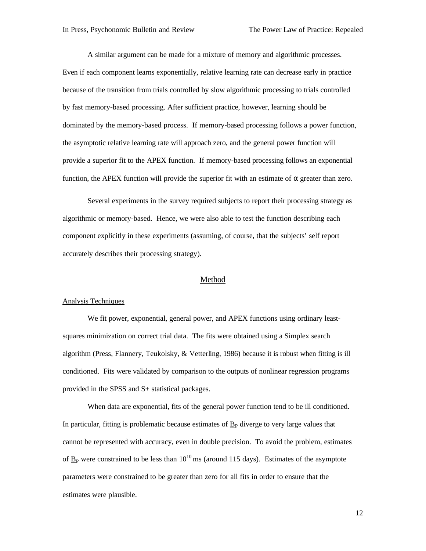A similar argument can be made for a mixture of memory and algorithmic processes. Even if each component learns exponentially, relative learning rate can decrease early in practice because of the transition from trials controlled by slow algorithmic processing to trials controlled by fast memory-based processing. After sufficient practice, however, learning should be dominated by the memory-based process. If memory-based processing follows a power function, the asymptotic relative learning rate will approach zero, and the general power function will provide a superior fit to the APEX function. If memory-based processing follows an exponential function, the APEX function will provide the superior fit with an estimate of  $\alpha$  greater than zero.

Several experiments in the survey required subjects to report their processing strategy as algorithmic or memory-based. Hence, we were also able to test the function describing each component explicitly in these experiments (assuming, of course, that the subjects' self report accurately describes their processing strategy).

### Method

#### Analysis Techniques

We fit power, exponential, general power, and APEX functions using ordinary leastsquares minimization on correct trial data. The fits were obtained using a Simplex search algorithm (Press, Flannery, Teukolsky, & Vetterling, 1986) because it is robust when fitting is ill conditioned. Fits were validated by comparison to the outputs of nonlinear regression programs provided in the SPSS and S+ statistical packages.

When data are exponential, fits of the general power function tend to be ill conditioned. In particular, fitting is problematic because estimates of  $B<sub>P</sub>$  diverge to very large values that cannot be represented with accuracy, even in double precision. To avoid the problem, estimates of  $B_P$  were constrained to be less than 10<sup>10</sup>ms (around 115 days). Estimates of the asymptote parameters were constrained to be greater than zero for all fits in order to ensure that the estimates were plausible.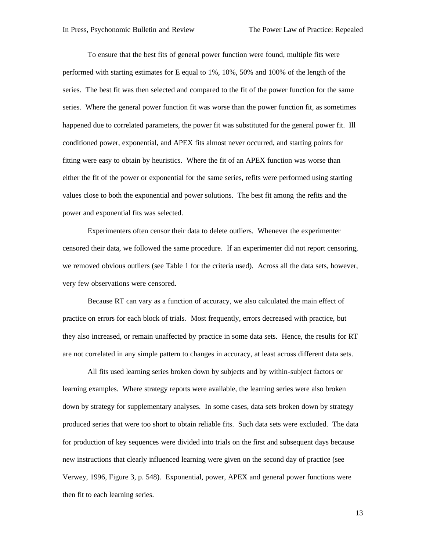To ensure that the best fits of general power function were found, multiple fits were performed with starting estimates for E equal to 1%, 10%, 50% and 100% of the length of the series. The best fit was then selected and compared to the fit of the power function for the same series. Where the general power function fit was worse than the power function fit, as sometimes happened due to correlated parameters, the power fit was substituted for the general power fit. Ill conditioned power, exponential, and APEX fits almost never occurred, and starting points for fitting were easy to obtain by heuristics. Where the fit of an APEX function was worse than either the fit of the power or exponential for the same series, refits were performed using starting values close to both the exponential and power solutions. The best fit among the refits and the power and exponential fits was selected.

Experimenters often censor their data to delete outliers. Whenever the experimenter censored their data, we followed the same procedure. If an experimenter did not report censoring, we removed obvious outliers (see Table 1 for the criteria used). Across all the data sets, however, very few observations were censored.

Because RT can vary as a function of accuracy, we also calculated the main effect of practice on errors for each block of trials. Most frequently, errors decreased with practice, but they also increased, or remain unaffected by practice in some data sets. Hence, the results for RT are not correlated in any simple pattern to changes in accuracy, at least across different data sets.

All fits used learning series broken down by subjects and by within-subject factors or learning examples. Where strategy reports were available, the learning series were also broken down by strategy for supplementary analyses. In some cases, data sets broken down by strategy produced series that were too short to obtain reliable fits. Such data sets were excluded. The data for production of key sequences were divided into trials on the first and subsequent days because new instructions that clearly influenced learning were given on the second day of practice (see Verwey, 1996, Figure 3, p. 548). Exponential, power, APEX and general power functions were then fit to each learning series.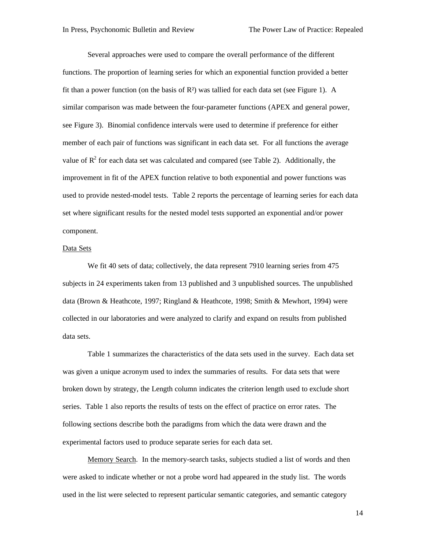Several approaches were used to compare the overall performance of the different functions. The proportion of learning series for which an exponential function provided a better fit than a power function (on the basis of  $R<sup>2</sup>$ ) was tallied for each data set (see Figure 1). A similar comparison was made between the four-parameter functions (APEX and general power, see Figure 3). Binomial confidence intervals were used to determine if preference for either member of each pair of functions was significant in each data set. For all functions the average value of  $R^2$  for each data set was calculated and compared (see Table 2). Additionally, the improvement in fit of the APEX function relative to both exponential and power functions was used to provide nested-model tests. Table 2 reports the percentage of learning series for each data set where significant results for the nested model tests supported an exponential and/or power component.

## Data Sets

We fit 40 sets of data; collectively, the data represent 7910 learning series from 475 subjects in 24 experiments taken from 13 published and 3 unpublished sources. The unpublished data (Brown & Heathcote, 1997; Ringland & Heathcote, 1998; Smith & Mewhort, 1994) were collected in our laboratories and were analyzed to clarify and expand on results from published data sets.

Table 1 summarizes the characteristics of the data sets used in the survey. Each data set was given a unique acronym used to index the summaries of results. For data sets that were broken down by strategy, the Length column indicates the criterion length used to exclude short series. Table 1 also reports the results of tests on the effect of practice on error rates. The following sections describe both the paradigms from which the data were drawn and the experimental factors used to produce separate series for each data set.

Memory Search. In the memory-search tasks, subjects studied a list of words and then were asked to indicate whether or not a probe word had appeared in the study list. The words used in the list were selected to represent particular semantic categories, and semantic category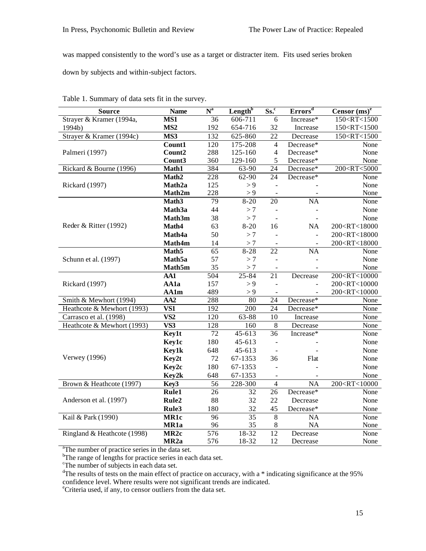was mapped consistently to the word's use as a target or distracter item. Fits used series broken

down by subjects and within-subject factors.

| <b>Source</b>               | <b>Name</b>             | $N^a$            | Length <sup>b</sup>  | $\overline{\text{Ss.}}^c$    | $\overline{\text{Errors}}^{\text{d}}$ | Censor $(ms)^e$                   |
|-----------------------------|-------------------------|------------------|----------------------|------------------------------|---------------------------------------|-----------------------------------|
| Strayer & Kramer (1994a,    | MS1                     | 36               | $\overline{606-711}$ | 6                            | Increase*                             | 150 <rt<1500< td=""></rt<1500<>   |
| 1994b)                      | MS <sub>2</sub>         | 192              | 654-716              | 32                           | Increase                              | 150 <rt<1500< td=""></rt<1500<>   |
| Strayer & Kramer (1994c)    | MS3                     | 132              | 625-860              | 22                           | Decrease                              | 150 <rt<1500< td=""></rt<1500<>   |
|                             | Count1                  | 120              | 175-208              | 4                            | Decrease*                             | None                              |
| Palmeri (1997)              | Count2                  | 288              | 125-160              | $\overline{4}$               | Decrease*                             | None                              |
|                             | Count3                  | 360              | 129-160              | 5                            | Decrease*                             | None                              |
| Rickard & Bourne (1996)     | Math1                   | 384              | 63-90                | 24                           | Decrease*                             | 200 <rt<5000< td=""></rt<5000<>   |
|                             | Math <sub>2</sub>       | 228              | 62-90                | 24                           | Decrease*                             | None                              |
| Rickard (1997)              | Math2a                  | 125              | > 9                  |                              |                                       | None                              |
|                             | Math2m                  | 228              | $\geq 9$             |                              |                                       | None                              |
|                             | Math <sub>3</sub>       | 79               | $8 - 20$             | 20                           | <b>NA</b>                             | None                              |
|                             | Math3a                  | 44               | >7                   |                              |                                       | None                              |
|                             | Math3m                  | 38               | >7                   | $\overline{a}$               |                                       | None                              |
| Reder & Ritter (1992)       | Math4                   | 63               | $8 - 20$             | 16                           | NA                                    | 200 <rt<18000< td=""></rt<18000<> |
|                             | Math4a                  | 50               | >7                   |                              | $\Box$                                | 200 <rt<18000< td=""></rt<18000<> |
|                             | Math4m                  | 14               | $>7\,$               |                              |                                       | 200 <rt<18000< td=""></rt<18000<> |
|                             | Math <sub>5</sub>       | 65               | $8 - 28$             | $\overline{22}$              | NA                                    | None                              |
| Schunn et al. (1997)        | Math <sub>5a</sub>      | 57               | >7                   | $\overline{a}$               |                                       | None                              |
|                             | Math5m                  | 35               | $>7\,$               | $\blacksquare$               |                                       | None                              |
|                             | AA1                     | 504              | 25-84                | 21                           | Decrease                              | 200 <rt<10000< td=""></rt<10000<> |
| Rickard (1997)              | AA1a                    | 157              | > 9                  | $\overline{a}$               |                                       | 200 <rt<10000< td=""></rt<10000<> |
|                             | <b>AA1m</b>             | 489              | > 9                  | $\equiv$                     |                                       | 200 <rt<10000< td=""></rt<10000<> |
| Smith & Mewhort (1994)      | AA2                     | 288              | 80                   | 24                           | Decrease*                             | None                              |
| Heathcote & Mewhort (1993)  | $\overline{\text{VS1}}$ | 192              | 200                  | 24                           | Decrease*                             | None                              |
| Carrasco et al. (1998)      | $\overline{\text{VS2}}$ | 120              | 63-88                | 10                           | Increase                              | None                              |
| Heathcote & Mewhort (1993)  | VS3                     | 128              | 160                  | 8                            | Decrease                              | None                              |
|                             | Key1t                   | 72               | 45-613               | 36                           | Increase*                             | None                              |
|                             | Key1c                   | 180              | 45-613               |                              |                                       | None                              |
|                             | Key1k                   | 648              | 45-613               |                              |                                       | None                              |
| Verwey (1996)               | Key2t                   | 72               | 67-1353              | 36                           | Flat                                  | None                              |
|                             | Key2c                   | 180              | 67-1353              | $\overline{a}$               |                                       | None                              |
|                             | Key2k                   | 648              | 67-1353              | $\qquad \qquad \blacksquare$ |                                       | None                              |
| Brown & Heathcote (1997)    | Key3                    | 56               | 228-300              | $\overline{4}$               | NA                                    | 200 <rt<10000< td=""></rt<10000<> |
|                             | Rule1                   | 26               | 32                   | 26                           | Decrease*                             | None                              |
| Anderson et al. (1997)      | Rule2                   | 88               | 32                   | 22                           | Decrease                              | None                              |
|                             | Rule3                   | 180              | 32                   | 45                           | Decrease*                             | None                              |
| Kail & Park (1990)          | MR1c                    | $\overline{96}$  | $\overline{35}$      | 8                            | NA                                    | None                              |
|                             | MR1a                    | 96               | 35                   | 8                            | NA                                    | None                              |
| Ringland & Heathcote (1998) | MR <sub>2c</sub>        | $\overline{576}$ | $18 - 32$            | $\overline{12}$              | Decrease                              | None                              |
|                             | MR <sub>2a</sub>        | 576              | 18-32                | 12                           | Decrease                              | None                              |

Table 1. Summary of data sets fit in the survey.

<sup>a</sup>The number of practice series in the data set.

<sup>b</sup>The range of lengths for practice series in each data set.

The number of subjects in each data set.<br>
<sup>d</sup>The results of tests on the main effect of practice on accuracy, with a  $*$  indicating significance at the 95% confidence level. Where results were not significant trends are indicated.

<sup>e</sup>Criteria used, if any, to censor outliers from the data set.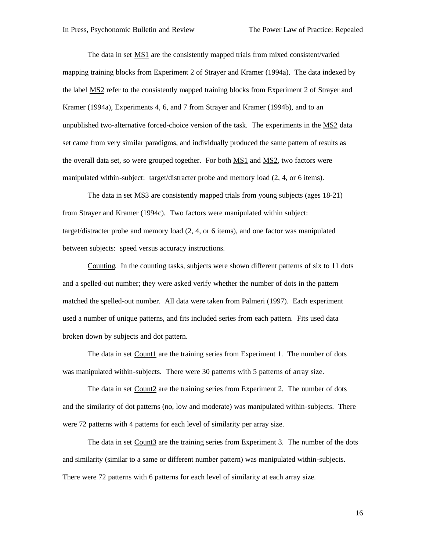The data in set MS1 are the consistently mapped trials from mixed consistent/varied mapping training blocks from Experiment 2 of Strayer and Kramer (1994a). The data indexed by the label MS2 refer to the consistently mapped training blocks from Experiment 2 of Strayer and Kramer (1994a), Experiments 4, 6, and 7 from Strayer and Kramer (1994b), and to an unpublished two-alternative forced-choice version of the task. The experiments in the MS2 data set came from very similar paradigms, and individually produced the same pattern of results as the overall data set, so were grouped together. For both MS1 and MS2, two factors were manipulated within-subject: target/distracter probe and memory load (2, 4, or 6 items).

The data in set **MS3** are consistently mapped trials from young subjects (ages 18-21) from Strayer and Kramer (1994c). Two factors were manipulated within subject: target/distracter probe and memory load (2, 4, or 6 items), and one factor was manipulated between subjects: speed versus accuracy instructions.

Counting. In the counting tasks, subjects were shown different patterns of six to 11 dots and a spelled-out number; they were asked verify whether the number of dots in the pattern matched the spelled-out number. All data were taken from Palmeri (1997). Each experiment used a number of unique patterns, and fits included series from each pattern. Fits used data broken down by subjects and dot pattern.

The data in set Count1 are the training series from Experiment 1. The number of dots was manipulated within-subjects. There were 30 patterns with 5 patterns of array size.

The data in set Count2 are the training series from Experiment 2. The number of dots and the similarity of dot patterns (no, low and moderate) was manipulated within-subjects. There were 72 patterns with 4 patterns for each level of similarity per array size.

The data in set Count3 are the training series from Experiment 3. The number of the dots and similarity (similar to a same or different number pattern) was manipulated within-subjects. There were 72 patterns with 6 patterns for each level of similarity at each array size.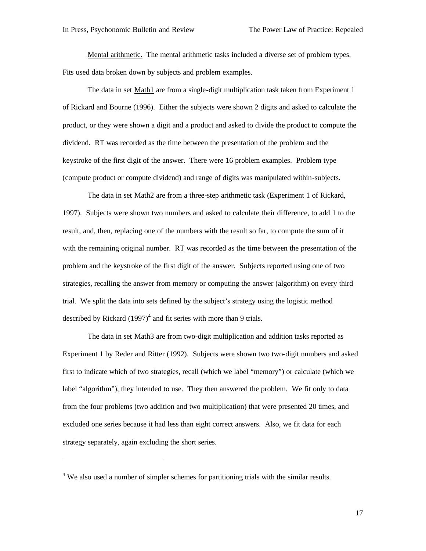Mental arithmetic. The mental arithmetic tasks included a diverse set of problem types. Fits used data broken down by subjects and problem examples.

The data in set Math1 are from a single-digit multiplication task taken from Experiment 1 of Rickard and Bourne (1996). Either the subjects were shown 2 digits and asked to calculate the product, or they were shown a digit and a product and asked to divide the product to compute the dividend. RT was recorded as the time between the presentation of the problem and the keystroke of the first digit of the answer. There were 16 problem examples. Problem type (compute product or compute dividend) and range of digits was manipulated within-subjects.

The data in set Math<sub>2</sub> are from a three-step arithmetic task (Experiment 1 of Rickard, 1997). Subjects were shown two numbers and asked to calculate their difference, to add 1 to the result, and, then, replacing one of the numbers with the result so far, to compute the sum of it with the remaining original number. RT was recorded as the time between the presentation of the problem and the keystroke of the first digit of the answer. Subjects reported using one of two strategies, recalling the answer from memory or computing the answer (algorithm) on every third trial. We split the data into sets defined by the subject's strategy using the logistic method described by Rickard  $(1997)^4$  and fit series with more than 9 trials.

The data in set Math3 are from two-digit multiplication and addition tasks reported as Experiment 1 by Reder and Ritter (1992). Subjects were shown two two-digit numbers and asked first to indicate which of two strategies, recall (which we label "memory") or calculate (which we label "algorithm"), they intended to use. They then answered the problem. We fit only to data from the four problems (two addition and two multiplication) that were presented 20 times, and excluded one series because it had less than eight correct answers. Also, we fit data for each strategy separately, again excluding the short series.

 $\overline{a}$ 

<sup>&</sup>lt;sup>4</sup> We also used a number of simpler schemes for partitioning trials with the similar results.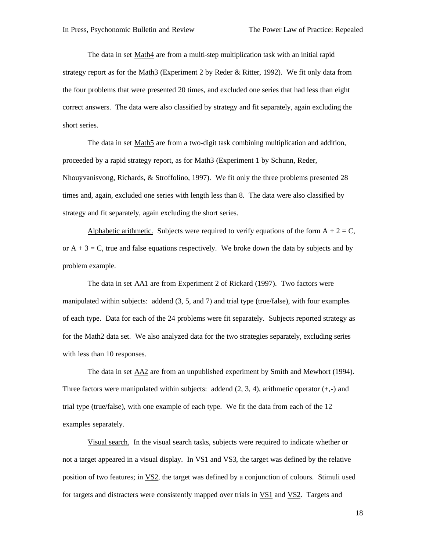The data in set Math4 are from a multi-step multiplication task with an initial rapid strategy report as for the Math $3$  (Experiment 2 by Reder & Ritter, 1992). We fit only data from the four problems that were presented 20 times, and excluded one series that had less than eight correct answers. The data were also classified by strategy and fit separately, again excluding the short series.

The data in set Math5 are from a two-digit task combining multiplication and addition, proceeded by a rapid strategy report, as for Math3 (Experiment 1 by Schunn, Reder, Nhouyvanisvong, Richards, & Stroffolino, 1997). We fit only the three problems presented 28 times and, again, excluded one series with length less than 8. The data were also classified by strategy and fit separately, again excluding the short series.

Alphabetic arithmetic. Subjects were required to verify equations of the form  $A + 2 = C$ , or  $A + 3 = C$ , true and false equations respectively. We broke down the data by subjects and by problem example.

The data in set **AA1** are from Experiment 2 of Rickard (1997). Two factors were manipulated within subjects: addend (3, 5, and 7) and trial type (true/false), with four examples of each type. Data for each of the 24 problems were fit separately. Subjects reported strategy as for the Math2 data set. We also analyzed data for the two strategies separately, excluding series with less than 10 responses.

The data in set AA2 are from an unpublished experiment by Smith and Mewhort (1994). Three factors were manipulated within subjects: addend  $(2, 3, 4)$ , arithmetic operator  $(+,-)$  and trial type (true/false), with one example of each type. We fit the data from each of the 12 examples separately.

Visual search. In the visual search tasks, subjects were required to indicate whether or not a target appeared in a visual display. In VS1 and VS3, the target was defined by the relative position of two features; in VS2, the target was defined by a conjunction of colours. Stimuli used for targets and distracters were consistently mapped over trials in VS1 and VS2. Targets and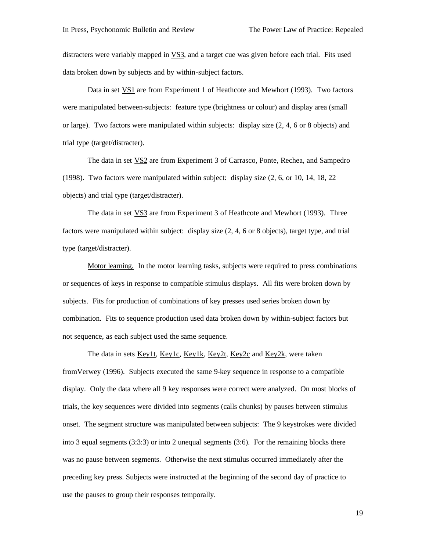distracters were variably mapped in VS3, and a target cue was given before each trial. Fits used data broken down by subjects and by within-subject factors.

Data in set VS1 are from Experiment 1 of Heathcote and Mewhort (1993). Two factors were manipulated between-subjects: feature type (brightness or colour) and display area (small or large). Two factors were manipulated within subjects: display size (2, 4, 6 or 8 objects) and trial type (target/distracter).

The data in set **VS2** are from Experiment 3 of Carrasco, Ponte, Rechea, and Sampedro (1998). Two factors were manipulated within subject: display size (2, 6, or 10, 14, 18, 22 objects) and trial type (target/distracter).

The data in set VS3 are from Experiment 3 of Heathcote and Mewhort (1993). Three factors were manipulated within subject: display size (2, 4, 6 or 8 objects), target type, and trial type (target/distracter).

Motor learning. In the motor learning tasks, subjects were required to press combinations or sequences of keys in response to compatible stimulus displays. All fits were broken down by subjects. Fits for production of combinations of key presses used series broken down by combination. Fits to sequence production used data broken down by within-subject factors but not sequence, as each subject used the same sequence.

The data in sets Key1t, Key1c, Key1k, Key2t, Key2c and Key2k, were taken fromVerwey (1996). Subjects executed the same 9-key sequence in response to a compatible display. Only the data where all 9 key responses were correct were analyzed. On most blocks of trials, the key sequences were divided into segments (calls chunks) by pauses between stimulus onset. The segment structure was manipulated between subjects: The 9 keystrokes were divided into 3 equal segments (3:3:3) or into 2 unequal segments (3:6). For the remaining blocks there was no pause between segments. Otherwise the next stimulus occurred immediately after the preceding key press. Subjects were instructed at the beginning of the second day of practice to use the pauses to group their responses temporally.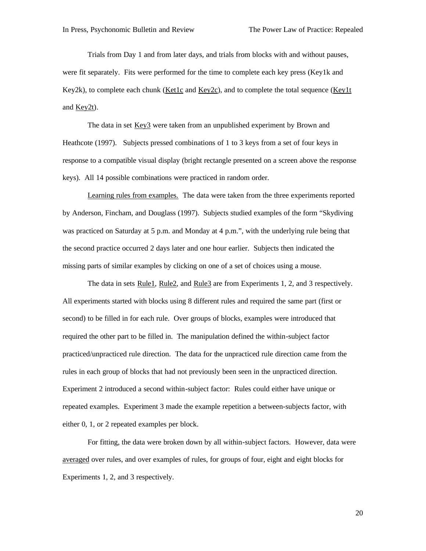Trials from Day 1 and from later days, and trials from blocks with and without pauses, were fit separately. Fits were performed for the time to complete each key press (Key1k and Key2k), to complete each chunk (Ket1c and Key2c), and to complete the total sequence (Key1t and Key2t).

The data in set Key3 were taken from an unpublished experiment by Brown and Heathcote (1997). Subjects pressed combinations of 1 to 3 keys from a set of four keys in response to a compatible visual display (bright rectangle presented on a screen above the response keys). All 14 possible combinations were practiced in random order.

Learning rules from examples. The data were taken from the three experiments reported by Anderson, Fincham, and Douglass (1997). Subjects studied examples of the form "Skydiving was practiced on Saturday at 5 p.m. and Monday at 4 p.m.", with the underlying rule being that the second practice occurred 2 days later and one hour earlier. Subjects then indicated the missing parts of similar examples by clicking on one of a set of choices using a mouse.

The data in sets Rule1, Rule2, and Rule3 are from Experiments 1, 2, and 3 respectively. All experiments started with blocks using 8 different rules and required the same part (first or second) to be filled in for each rule. Over groups of blocks, examples were introduced that required the other part to be filled in. The manipulation defined the within-subject factor practiced/unpracticed rule direction. The data for the unpracticed rule direction came from the rules in each group of blocks that had not previously been seen in the unpracticed direction. Experiment 2 introduced a second within-subject factor: Rules could either have unique or repeated examples. Experiment 3 made the example repetition a between-subjects factor, with either 0, 1, or 2 repeated examples per block.

For fitting, the data were broken down by all within-subject factors. However, data were averaged over rules, and over examples of rules, for groups of four, eight and eight blocks for Experiments 1, 2, and 3 respectively.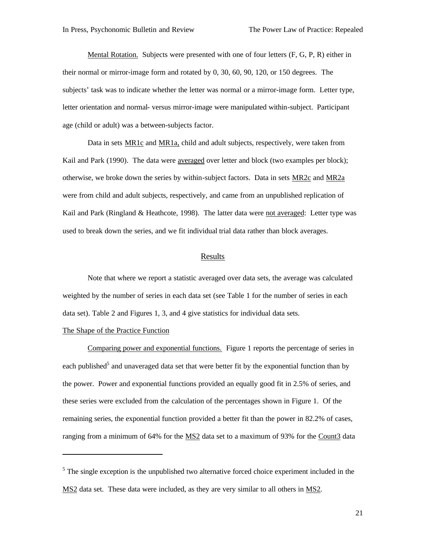Mental Rotation. Subjects were presented with one of four letters (F, G, P, R) either in their normal or mirror-image form and rotated by 0, 30, 60, 90, 120, or 150 degrees. The subjects' task was to indicate whether the letter was normal or a mirror-image form. Letter type, letter orientation and normal- versus mirror-image were manipulated within-subject. Participant age (child or adult) was a between-subjects factor.

Data in sets MR1c and MR1a, child and adult subjects, respectively, were taken from Kail and Park (1990). The data were averaged over letter and block (two examples per block); otherwise, we broke down the series by within-subject factors. Data in sets MR2c and MR2a were from child and adult subjects, respectively, and came from an unpublished replication of Kail and Park (Ringland & Heathcote, 1998). The latter data were not averaged: Letter type was used to break down the series, and we fit individual trial data rather than block averages.

## Results

Note that where we report a statistic averaged over data sets, the average was calculated weighted by the number of series in each data set (see Table 1 for the number of series in each data set). Table 2 and Figures 1, 3, and 4 give statistics for individual data sets.

#### The Shape of the Practice Function

l

Comparing power and exponential functions. Figure 1 reports the percentage of series in each published<sup>5</sup> and unaveraged data set that were better fit by the exponential function than by the power. Power and exponential functions provided an equally good fit in 2.5% of series, and these series were excluded from the calculation of the percentages shown in Figure 1. Of the remaining series, the exponential function provided a better fit than the power in 82.2% of cases, ranging from a minimum of 64% for the MS2 data set to a maximum of 93% for the Count3 data

 $<sup>5</sup>$  The single exception is the unpublished two alternative forced choice experiment included in the</sup> MS2 data set. These data were included, as they are very similar to all others in MS2.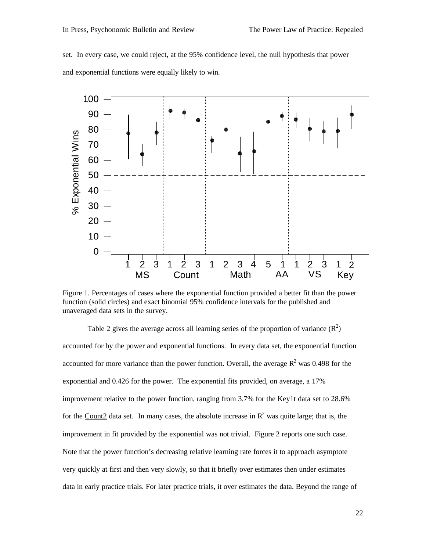set. In every case, we could reject, at the 95% confidence level, the null hypothesis that power and exponential functions were equally likely to win.



Figure 1. Percentages of cases where the exponential function provided a better fit than the power function (solid circles) and exact binomial 95% confidence intervals for the published and unaveraged data sets in the survey.

Table 2 gives the average across all learning series of the proportion of variance  $(R^2)$ accounted for by the power and exponential functions. In every data set, the exponential function accounted for more variance than the power function. Overall, the average  $R^2$  was 0.498 for the exponential and 0.426 for the power. The exponential fits provided, on average, a 17% improvement relative to the power function, ranging from 3.7% for the Key1t data set to 28.6% for the Count2 data set. In many cases, the absolute increase in  $\mathbb{R}^2$  was quite large; that is, the improvement in fit provided by the exponential was not trivial. Figure 2 reports one such case. Note that the power function's decreasing relative learning rate forces it to approach asymptote very quickly at first and then very slowly, so that it briefly over estimates then under estimates data in early practice trials. For later practice trials, it over estimates the data. Beyond the range of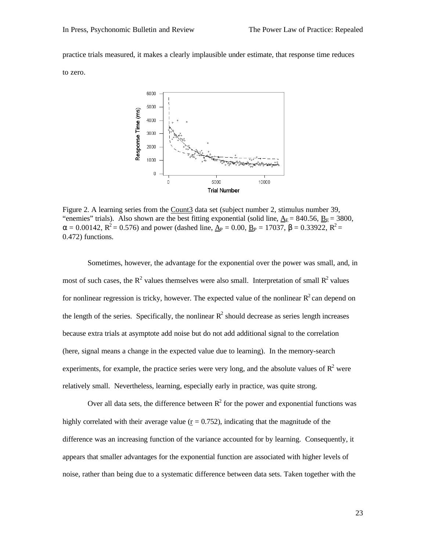practice trials measured, it makes a clearly implausible under estimate, that response time reduces to zero.



Figure 2. A learning series from the Count3 data set (subject number 2, stimulus number 39, "enemies" trials). Also shown are the best fitting exponential (solid line,  $\Delta_E$  = 840.56,  $B_E$  = 3800,  $\alpha = 0.00142$ ,  $R^2 = 0.576$ ) and power (dashed line,  $\underline{A}_P = 0.00$ ,  $\underline{B}_P = 17037$ ,  $\beta = 0.33922$ ,  $R^2 =$ 0.472) functions.

Sometimes, however, the advantage for the exponential over the power was small, and, in most of such cases, the  $R^2$  values themselves were also small. Interpretation of small  $R^2$  values for nonlinear regression is tricky, however. The expected value of the nonlinear  $R^2$  can depend on the length of the series. Specifically, the nonlinear  $R^2$  should decrease as series length increases because extra trials at asymptote add noise but do not add additional signal to the correlation (here, signal means a change in the expected value due to learning). In the memory-search experiments, for example, the practice series were very long, and the absolute values of  $\mathbb{R}^2$  were relatively small. Nevertheless, learning, especially early in practice, was quite strong.

Over all data sets, the difference between  $R^2$  for the power and exponential functions was highly correlated with their average value ( $r = 0.752$ ), indicating that the magnitude of the difference was an increasing function of the variance accounted for by learning. Consequently, it appears that smaller advantages for the exponential function are associated with higher levels of noise, rather than being due to a systematic difference between data sets. Taken together with the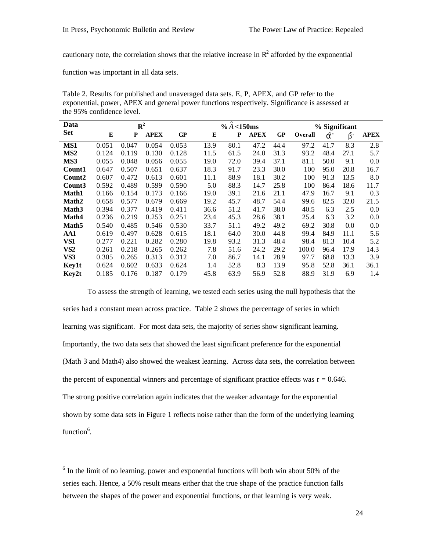cautionary note, the correlation shows that the relative increase in  $\mathbb{R}^2$  afforded by the exponential

function was important in all data sets.

l

Table 2. Results for published and unaveraged data sets. E, P, APEX, and GP refer to the exponential, power, APEX and general power functions respectively. Significance is assessed at the 95% confidence level.

| Data              | ${\bf R}^2$ |       |             |           | $% A < 150$ ms |      |             |      | % Significant |      |                |             |
|-------------------|-------------|-------|-------------|-----------|----------------|------|-------------|------|---------------|------|----------------|-------------|
| <b>Set</b>        | E           | P     | <b>APEX</b> | <b>GP</b> | E              | P    | <b>APEX</b> | GP   | Overall       | â'   | $\hat{\bm{b}}$ | <b>APEX</b> |
| MS1               | 0.051       | 0.047 | 0.054       | 0.053     | 13.9           | 80.1 | 47.2        | 44.4 | 97.2          | 41.7 | 8.3            | 2.8         |
| MS <sub>2</sub>   | 0.124       | 0.119 | 0.130       | 0.128     | 11.5           | 61.5 | 24.0        | 31.3 | 93.2          | 48.4 | 27.1           | 5.7         |
| MS3               | 0.055       | 0.048 | 0.056       | 0.055     | 19.0           | 72.0 | 39.4        | 37.1 | 81.1          | 50.0 | 9.1            | 0.0         |
| Count1            | 0.647       | 0.507 | 0.651       | 0.637     | 18.3           | 91.7 | 23.3        | 30.0 | 100           | 95.0 | 20.8           | 16.7        |
| Count2            | 0.607       | 0.472 | 0.613       | 0.601     | 11.1           | 88.9 | 18.1        | 30.2 | 100           | 91.3 | 13.5           | 8.0         |
| Count3            | 0.592       | 0.489 | 0.599       | 0.590     | 5.0            | 88.3 | 14.7        | 25.8 | 100           | 86.4 | 18.6           | 11.7        |
| <b>Math1</b>      | 0.166       | 0.154 | 0.173       | 0.166     | 19.0           | 39.1 | 21.6        | 21.1 | 47.9          | 16.7 | 9.1            | 0.3         |
| Math <sub>2</sub> | 0.658       | 0.577 | 0.679       | 0.669     | 19.2           | 45.7 | 48.7        | 54.4 | 99.6          | 82.5 | 32.0           | 21.5        |
| Math <sub>3</sub> | 0.394       | 0.377 | 0.419       | 0.411     | 36.6           | 51.2 | 41.7        | 38.0 | 40.5          | 6.3  | 2.5            | 0.0         |
| Math4             | 0.236       | 0.219 | 0.253       | 0.251     | 23.4           | 45.3 | 28.6        | 38.1 | 25.4          | 6.3  | 3.2            | 0.0         |
| Math <sub>5</sub> | 0.540       | 0.485 | 0.546       | 0.530     | 33.7           | 51.1 | 49.2        | 49.2 | 69.2          | 30.8 | 0.0            | 0.0         |
| AA1               | 0.619       | 0.497 | 0.628       | 0.615     | 18.1           | 64.0 | 30.0        | 44.8 | 99.4          | 84.9 | 11.1           | 5.6         |
| VS1               | 0.277       | 0.221 | 0.282       | 0.280     | 19.8           | 93.2 | 31.3        | 48.4 | 98.4          | 81.3 | 10.4           | 5.2         |
| VS <sub>2</sub>   | 0.261       | 0.218 | 0.265       | 0.262     | 7.8            | 51.6 | 24.2        | 29.2 | 100.0         | 96.4 | 17.9           | 14.3        |
| VS3               | 0.305       | 0.265 | 0.313       | 0.312     | 7.0            | 86.7 | 14.1        | 28.9 | 97.7          | 68.8 | 13.3           | 3.9         |
| Key1t             | 0.624       | 0.602 | 0.633       | 0.624     | 1.4            | 52.8 | 8.3         | 13.9 | 95.8          | 52.8 | 36.1           | 36.1        |
| Key2t             | 0.185       | 0.176 | 0.187       | 0.179     | 45.8           | 63.9 | 56.9        | 52.8 | 88.9          | 31.9 | 6.9            | 1.4         |

To assess the strength of learning, we tested each series using the null hypothesis that the series had a constant mean across practice. Table 2 shows the percentage of series in which learning was significant. For most data sets, the majority of series show significant learning. Importantly, the two data sets that showed the least significant preference for the exponential (Math 3 and Math4) also showed the weakest learning. Across data sets, the correlation between the percent of exponential winners and percentage of significant practice effects was  $r = 0.646$ . The strong positive correlation again indicates that the weaker advantage for the exponential shown by some data sets in Figure 1 reflects noise rather than the form of the underlying learning function<sup>6</sup>.

<sup>&</sup>lt;sup>6</sup> In the limit of no learning, power and exponential functions will both win about 50% of the series each. Hence, a 50% result means either that the true shape of the practice function falls between the shapes of the power and exponential functions, or that learning is very weak.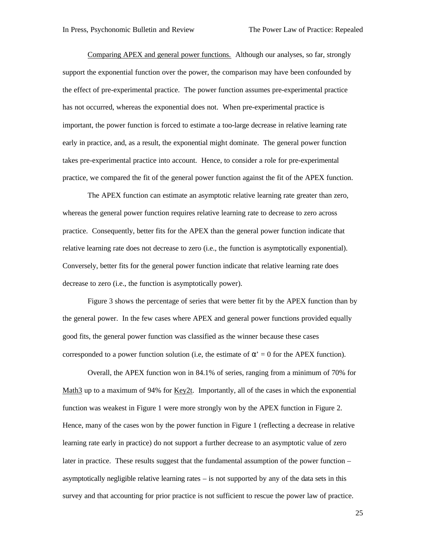Comparing APEX and general power functions. Although our analyses, so far, strongly support the exponential function over the power, the comparison may have been confounded by the effect of pre-experimental practice. The power function assumes pre-experimental practice has not occurred, whereas the exponential does not. When pre-experimental practice is important, the power function is forced to estimate a too-large decrease in relative learning rate early in practice, and, as a result, the exponential might dominate. The general power function takes pre-experimental practice into account. Hence, to consider a role for pre-experimental practice, we compared the fit of the general power function against the fit of the APEX function.

The APEX function can estimate an asymptotic relative learning rate greater than zero, whereas the general power function requires relative learning rate to decrease to zero across practice. Consequently, better fits for the APEX than the general power function indicate that relative learning rate does not decrease to zero (i.e., the function is asymptotically exponential). Conversely, better fits for the general power function indicate that relative learning rate does decrease to zero (i.e., the function is asymptotically power).

Figure 3 shows the percentage of series that were better fit by the APEX function than by the general power. In the few cases where APEX and general power functions provided equally good fits, the general power function was classified as the winner because these cases corresponded to a power function solution (i.e, the estimate of  $\alpha' = 0$  for the APEX function).

Overall, the APEX function won in 84.1% of series, ranging from a minimum of 70% for Math3 up to a maximum of 94% for Key2t. Importantly, all of the cases in which the exponential function was weakest in Figure 1 were more strongly won by the APEX function in Figure 2. Hence, many of the cases won by the power function in Figure 1 (reflecting a decrease in relative learning rate early in practice) do not support a further decrease to an asymptotic value of zero later in practice. These results suggest that the fundamental assumption of the power function – asymptotically negligible relative learning rates – is not supported by any of the data sets in this survey and that accounting for prior practice is not sufficient to rescue the power law of practice.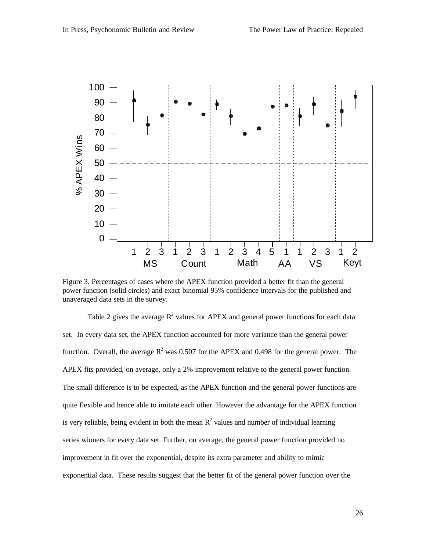

Figure 3. Percentages of cases where the APEX function provided a better fit than the general power function (solid circles) and exact binomial 95% confidence intervals for the published and unaveraged data sets in the survey.

Table 2 gives the average  $R^2$  values for APEX and general power functions for each data set. In every data set, the APEX function accounted for more variance than the general power function. Overall, the average  $R^2$  was 0.507 for the APEX and 0.498 for the general power. The APEX fits provided, on average, only a 2% improvement relative to the general power function. The small difference is to be expected, as the APEX function and the general power functions are quite flexible and hence able to imitate each other. However the advantage for the APEX function is very reliable, being evident in both the mean  $R^2$  values and number of individual learning series winners for every data set. Further, on average, the general power function provided no improvement in fit over the exponential, despite its extra parameter and ability to mimic exponential data. These results suggest that the better fit of the general power function over the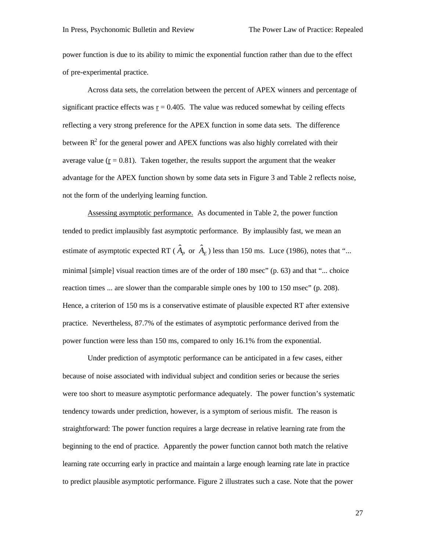power function is due to its ability to mimic the exponential function rather than due to the effect of pre-experimental practice.

Across data sets, the correlation between the percent of APEX winners and percentage of significant practice effects was  $r = 0.405$ . The value was reduced somewhat by ceiling effects reflecting a very strong preference for the APEX function in some data sets. The difference between  $R^2$  for the general power and APEX functions was also highly correlated with their average value ( $r = 0.81$ ). Taken together, the results support the argument that the weaker advantage for the APEX function shown by some data sets in Figure 3 and Table 2 reflects noise, not the form of the underlying learning function.

Assessing asymptotic performance. As documented in Table 2, the power function tended to predict implausibly fast asymptotic performance. By implausibly fast, we mean an estimate of asymptotic expected RT ( $\hat{A}_P$  or  $\hat{A}_E$ ) less than 150 ms. Luce (1986), notes that "... minimal [simple] visual reaction times are of the order of 180 msec" (p. 63) and that "... choice reaction times ... are slower than the comparable simple ones by 100 to 150 msec" (p. 208). Hence, a criterion of 150 ms is a conservative estimate of plausible expected RT after extensive practice. Nevertheless, 87.7% of the estimates of asymptotic performance derived from the power function were less than 150 ms, compared to only 16.1% from the exponential.

Under prediction of asymptotic performance can be anticipated in a few cases, either because of noise associated with individual subject and condition series or because the series were too short to measure asymptotic performance adequately. The power function's systematic tendency towards under prediction, however, is a symptom of serious misfit. The reason is straightforward: The power function requires a large decrease in relative learning rate from the beginning to the end of practice. Apparently the power function cannot both match the relative learning rate occurring early in practice and maintain a large enough learning rate late in practice to predict plausible asymptotic performance. Figure 2 illustrates such a case. Note that the power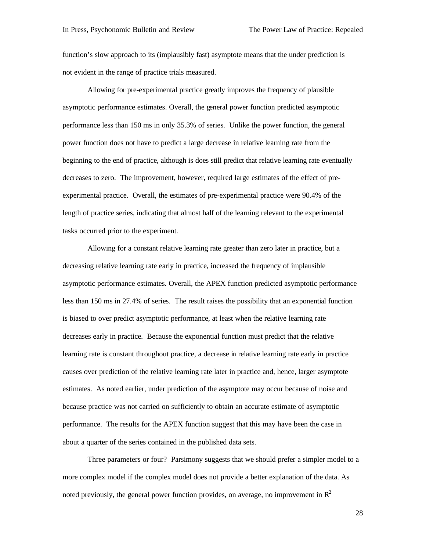function's slow approach to its (implausibly fast) asymptote means that the under prediction is not evident in the range of practice trials measured.

Allowing for pre-experimental practice greatly improves the frequency of plausible asymptotic performance estimates. Overall, the general power function predicted asymptotic performance less than 150 ms in only 35.3% of series. Unlike the power function, the general power function does not have to predict a large decrease in relative learning rate from the beginning to the end of practice, although is does still predict that relative learning rate eventually decreases to zero. The improvement, however, required large estimates of the effect of preexperimental practice. Overall, the estimates of pre-experimental practice were 90.4% of the length of practice series, indicating that almost half of the learning relevant to the experimental tasks occurred prior to the experiment.

Allowing for a constant relative learning rate greater than zero later in practice, but a decreasing relative learning rate early in practice, increased the frequency of implausible asymptotic performance estimates. Overall, the APEX function predicted asymptotic performance less than 150 ms in 27.4% of series. The result raises the possibility that an exponential function is biased to over predict asymptotic performance, at least when the relative learning rate decreases early in practice. Because the exponential function must predict that the relative learning rate is constant throughout practice, a decrease in relative learning rate early in practice causes over prediction of the relative learning rate later in practice and, hence, larger asymptote estimates. As noted earlier, under prediction of the asymptote may occur because of noise and because practice was not carried on sufficiently to obtain an accurate estimate of asymptotic performance. The results for the APEX function suggest that this may have been the case in about a quarter of the series contained in the published data sets.

Three parameters or four? Parsimony suggests that we should prefer a simpler model to a more complex model if the complex model does not provide a better explanation of the data. As noted previously, the general power function provides, on average, no improvement in  $\mathbb{R}^2$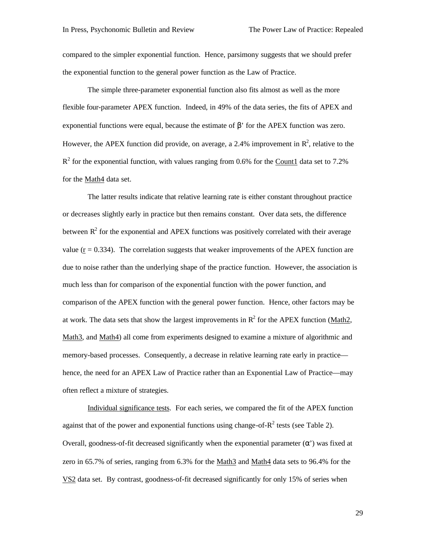compared to the simpler exponential function. Hence, parsimony suggests that we should prefer the exponential function to the general power function as the Law of Practice.

The simple three-parameter exponential function also fits almost as well as the more flexible four-parameter APEX function. Indeed, in 49% of the data series, the fits of APEX and exponential functions were equal, because the estimate of  $β'$  for the APEX function was zero. However, the APEX function did provide, on average, a 2.4% improvement in  $\mathbb{R}^2$ , relative to the  $R<sup>2</sup>$  for the exponential function, with values ranging from 0.6% for the Count1 data set to 7.2% for the Math4 data set.

The latter results indicate that relative learning rate is either constant throughout practice or decreases slightly early in practice but then remains constant. Over data sets, the difference between  $\mathbb{R}^2$  for the exponential and APEX functions was positively correlated with their average value  $(r = 0.334)$ . The correlation suggests that weaker improvements of the APEX function are due to noise rather than the underlying shape of the practice function. However, the association is much less than for comparison of the exponential function with the power function, and comparison of the APEX function with the general power function. Hence, other factors may be at work. The data sets that show the largest improvements in  $R^2$  for the APEX function (Math2, Math3, and Math4) all come from experiments designed to examine a mixture of algorithmic and memory-based processes. Consequently, a decrease in relative learning rate early in practice hence, the need for an APEX Law of Practice rather than an Exponential Law of Practice—may often reflect a mixture of strategies.

Individual significance tests. For each series, we compared the fit of the APEX function against that of the power and exponential functions using change-of- $R^2$  tests (see Table 2). Overall, goodness-of-fit decreased significantly when the exponential parameter (α') was fixed at zero in 65.7% of series, ranging from 6.3% for the Math3 and Math4 data sets to 96.4% for the VS2 data set. By contrast, goodness-of-fit decreased significantly for only 15% of series when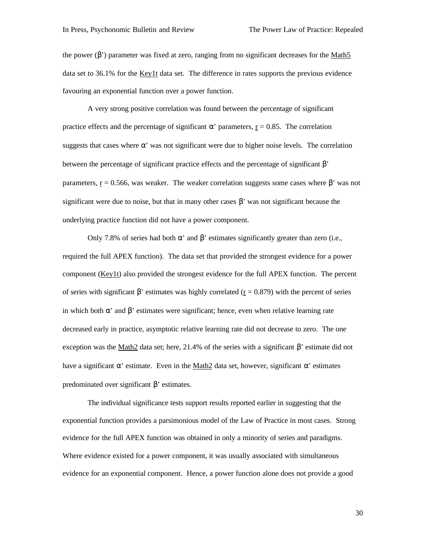the power (β') parameter was fixed at zero, ranging from no significant decreases for the Math5 data set to 36.1% for the Key1t data set. The difference in rates supports the previous evidence favouring an exponential function over a power function.

A very strong positive correlation was found between the percentage of significant practice effects and the percentage of significant  $\alpha'$  parameters,  $r = 0.85$ . The correlation suggests that cases where  $\alpha'$  was not significant were due to higher noise levels. The correlation between the percentage of significant practice effects and the percentage of significant β' parameters,  $r = 0.566$ , was weaker. The weaker correlation suggests some cases where  $\beta$ ' was not significant were due to noise, but that in many other cases  $\beta'$  was not significant because the underlying practice function did not have a power component.

Only 7.8% of series had both α' and β' estimates significantly greater than zero (i.e., required the full APEX function). The data set that provided the strongest evidence for a power component (Key1t) also provided the strongest evidence for the full APEX function. The percent of series with significant β' estimates was highly correlated  $(r = 0.879)$  with the percent of series in which both  $\alpha'$  and  $\beta'$  estimates were significant; hence, even when relative learning rate decreased early in practice, asymptotic relative learning rate did not decrease to zero. The one exception was the Math2 data set; here, 21.4% of the series with a significant  $β'$  estimate did not have a significant  $\alpha'$  estimate. Even in the Math2 data set, however, significant  $\alpha'$  estimates predominated over significant β' estimates.

The individual significance tests support results reported earlier in suggesting that the exponential function provides a parsimonious model of the Law of Practice in most cases. Strong evidence for the full APEX function was obtained in only a minority of series and paradigms. Where evidence existed for a power component, it was usually associated with simultaneous evidence for an exponential component. Hence, a power function alone does not provide a good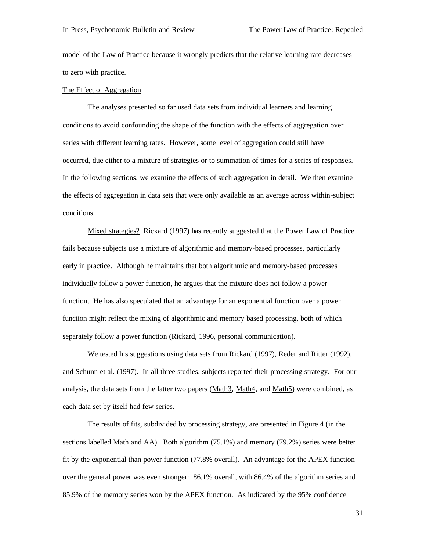model of the Law of Practice because it wrongly predicts that the relative learning rate decreases to zero with practice.

#### The Effect of Aggregation

The analyses presented so far used data sets from individual learners and learning conditions to avoid confounding the shape of the function with the effects of aggregation over series with different learning rates. However, some level of aggregation could still have occurred, due either to a mixture of strategies or to summation of times for a series of responses. In the following sections, we examine the effects of such aggregation in detail. We then examine the effects of aggregation in data sets that were only available as an average across within-subject conditions.

Mixed strategies? Rickard (1997) has recently suggested that the Power Law of Practice fails because subjects use a mixture of algorithmic and memory-based processes, particularly early in practice. Although he maintains that both algorithmic and memory-based processes individually follow a power function, he argues that the mixture does not follow a power function. He has also speculated that an advantage for an exponential function over a power function might reflect the mixing of algorithmic and memory based processing, both of which separately follow a power function (Rickard, 1996, personal communication).

We tested his suggestions using data sets from Rickard (1997), Reder and Ritter (1992), and Schunn et al. (1997). In all three studies, subjects reported their processing strategy. For our analysis, the data sets from the latter two papers (Math3, Math4, and Math5) were combined, as each data set by itself had few series.

The results of fits, subdivided by processing strategy, are presented in Figure 4 (in the sections labelled Math and AA). Both algorithm (75.1%) and memory (79.2%) series were better fit by the exponential than power function (77.8% overall). An advantage for the APEX function over the general power was even stronger: 86.1% overall, with 86.4% of the algorithm series and 85.9% of the memory series won by the APEX function. As indicated by the 95% confidence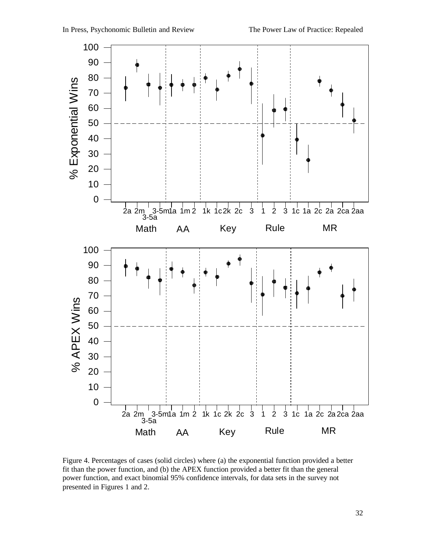

Figure 4. Percentages of cases (solid circles) where (a) the exponential function provided a better fit than the power function, and (b) the APEX function provided a better fit than the general power function, and exact binomial 95% confidence intervals, for data sets in the survey not presented in Figures 1 and 2.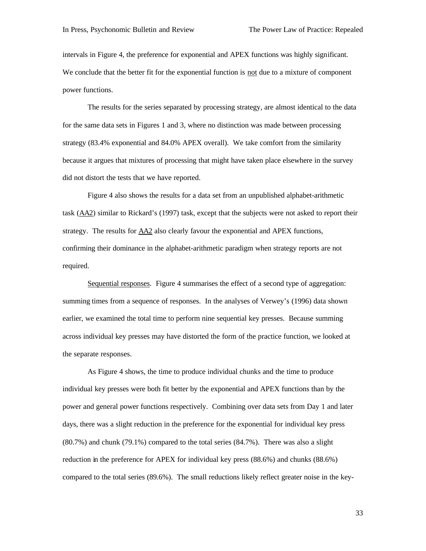intervals in Figure 4, the preference for exponential and APEX functions was highly significant. We conclude that the better fit for the exponential function is not due to a mixture of component power functions.

The results for the series separated by processing strategy, are almost identical to the data for the same data sets in Figures 1 and 3, where no distinction was made between processing strategy (83.4% exponential and 84.0% APEX overall). We take comfort from the similarity because it argues that mixtures of processing that might have taken place elsewhere in the survey did not distort the tests that we have reported.

Figure 4 also shows the results for a data set from an unpublished alphabet-arithmetic task (AA2) similar to Rickard's (1997) task, except that the subjects were not asked to report their strategy. The results for AA2 also clearly favour the exponential and APEX functions, confirming their dominance in the alphabet-arithmetic paradigm when strategy reports are not required.

Sequential responses. Figure 4 summarises the effect of a second type of aggregation: summing times from a sequence of responses. In the analyses of Verwey's (1996) data shown earlier, we examined the total time to perform nine sequential key presses. Because summing across individual key presses may have distorted the form of the practice function, we looked at the separate responses.

As Figure 4 shows, the time to produce individual chunks and the time to produce individual key presses were both fit better by the exponential and APEX functions than by the power and general power functions respectively. Combining over data sets from Day 1 and later days, there was a slight reduction in the preference for the exponential for individual key press (80.7%) and chunk (79.1%) compared to the total series (84.7%). There was also a slight reduction in the preference for APEX for individual key press (88.6%) and chunks (88.6%) compared to the total series (89.6%). The small reductions likely reflect greater noise in the key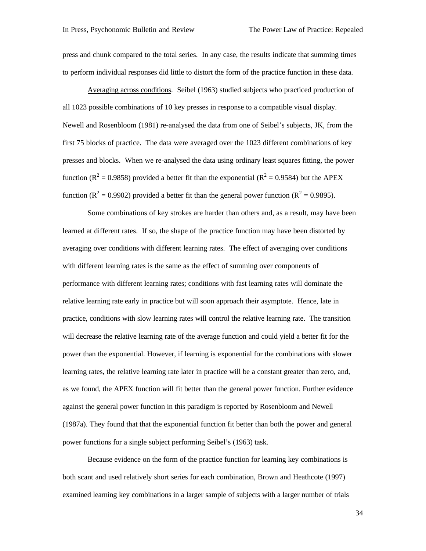press and chunk compared to the total series. In any case, the results indicate that summing times to perform individual responses did little to distort the form of the practice function in these data.

Averaging across conditions. Seibel (1963) studied subjects who practiced production of all 1023 possible combinations of 10 key presses in response to a compatible visual display. Newell and Rosenbloom (1981) re-analysed the data from one of Seibel's subjects, JK, from the first 75 blocks of practice. The data were averaged over the 1023 different combinations of key presses and blocks. When we re-analysed the data using ordinary least squares fitting, the power function ( $R^2 = 0.9858$ ) provided a better fit than the exponential ( $R^2 = 0.9584$ ) but the APEX function ( $\mathbb{R}^2 = 0.9902$ ) provided a better fit than the general power function ( $\mathbb{R}^2 = 0.9895$ ).

Some combinations of key strokes are harder than others and, as a result, may have been learned at different rates. If so, the shape of the practice function may have been distorted by averaging over conditions with different learning rates. The effect of averaging over conditions with different learning rates is the same as the effect of summing over components of performance with different learning rates; conditions with fast learning rates will dominate the relative learning rate early in practice but will soon approach their asymptote. Hence, late in practice, conditions with slow learning rates will control the relative learning rate. The transition will decrease the relative learning rate of the average function and could yield a better fit for the power than the exponential. However, if learning is exponential for the combinations with slower learning rates, the relative learning rate later in practice will be a constant greater than zero, and, as we found, the APEX function will fit better than the general power function. Further evidence against the general power function in this paradigm is reported by Rosenbloom and Newell (1987a). They found that that the exponential function fit better than both the power and general power functions for a single subject performing Seibel's (1963) task.

Because evidence on the form of the practice function for learning key combinations is both scant and used relatively short series for each combination, Brown and Heathcote (1997) examined learning key combinations in a larger sample of subjects with a larger number of trials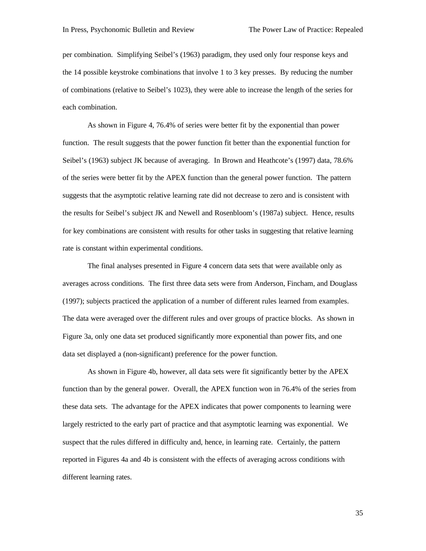per combination. Simplifying Seibel's (1963) paradigm, they used only four response keys and the 14 possible keystroke combinations that involve 1 to 3 key presses. By reducing the number of combinations (relative to Seibel's 1023), they were able to increase the length of the series for each combination.

As shown in Figure 4, 76.4% of series were better fit by the exponential than power function. The result suggests that the power function fit better than the exponential function for Seibel's (1963) subject JK because of averaging. In Brown and Heathcote's (1997) data, 78.6% of the series were better fit by the APEX function than the general power function. The pattern suggests that the asymptotic relative learning rate did not decrease to zero and is consistent with the results for Seibel's subject JK and Newell and Rosenbloom's (1987a) subject. Hence, results for key combinations are consistent with results for other tasks in suggesting that relative learning rate is constant within experimental conditions.

The final analyses presented in Figure 4 concern data sets that were available only as averages across conditions. The first three data sets were from Anderson, Fincham, and Douglass (1997); subjects practiced the application of a number of different rules learned from examples. The data were averaged over the different rules and over groups of practice blocks. As shown in Figure 3a, only one data set produced significantly more exponential than power fits, and one data set displayed a (non-significant) preference for the power function.

As shown in Figure 4b, however, all data sets were fit significantly better by the APEX function than by the general power. Overall, the APEX function won in 76.4% of the series from these data sets. The advantage for the APEX indicates that power components to learning were largely restricted to the early part of practice and that asymptotic learning was exponential. We suspect that the rules differed in difficulty and, hence, in learning rate. Certainly, the pattern reported in Figures 4a and 4b is consistent with the effects of averaging across conditions with different learning rates.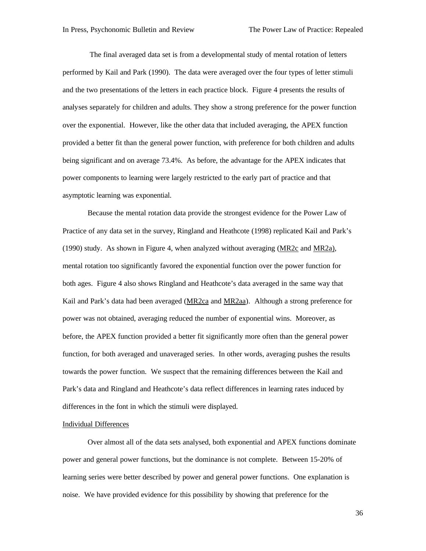The final averaged data set is from a developmental study of mental rotation of letters performed by Kail and Park (1990). The data were averaged over the four types of letter stimuli and the two presentations of the letters in each practice block. Figure 4 presents the results of analyses separately for children and adults. They show a strong preference for the power function over the exponential. However, like the other data that included averaging, the APEX function provided a better fit than the general power function, with preference for both children and adults being significant and on average 73.4%. As before, the advantage for the APEX indicates that power components to learning were largely restricted to the early part of practice and that asymptotic learning was exponential.

Because the mental rotation data provide the strongest evidence for the Power Law of Practice of any data set in the survey, Ringland and Heathcote (1998) replicated Kail and Park's (1990) study. As shown in Figure 4, when analyzed without averaging (MR2c and MR2a), mental rotation too significantly favored the exponential function over the power function for both ages. Figure 4 also shows Ringland and Heathcote's data averaged in the same way that Kail and Park's data had been averaged (MR2ca and MR2aa). Although a strong preference for power was not obtained, averaging reduced the number of exponential wins. Moreover, as before, the APEX function provided a better fit significantly more often than the general power function, for both averaged and unaveraged series. In other words, averaging pushes the results towards the power function. We suspect that the remaining differences between the Kail and Park's data and Ringland and Heathcote's data reflect differences in learning rates induced by differences in the font in which the stimuli were displayed.

#### Individual Differences

Over almost all of the data sets analysed, both exponential and APEX functions dominate power and general power functions, but the dominance is not complete. Between 15-20% of learning series were better described by power and general power functions. One explanation is noise. We have provided evidence for this possibility by showing that preference for the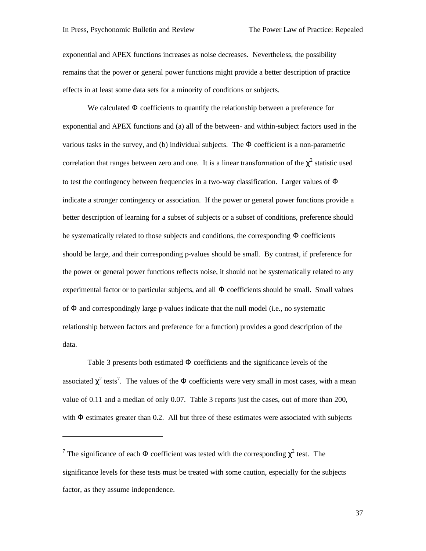l

exponential and APEX functions increases as noise decreases. Nevertheless, the possibility remains that the power or general power functions might provide a better description of practice effects in at least some data sets for a minority of conditions or subjects.

We calculated  $\Phi$  coefficients to quantify the relationship between a preference for exponential and APEX functions and (a) all of the between- and within-subject factors used in the various tasks in the survey, and (b) individual subjects. The  $\Phi$  coefficient is a non-parametric correlation that ranges between zero and one. It is a linear transformation of the  $\chi^2$  statistic used to test the contingency between frequencies in a two-way classification. Larger values of Φ indicate a stronger contingency or association. If the power or general power functions provide a better description of learning for a subset of subjects or a subset of conditions, preference should be systematically related to those subjects and conditions, the corresponding  $\Phi$  coefficients should be large, and their corresponding p-values should be small. By contrast, if preference for the power or general power functions reflects noise, it should not be systematically related to any experimental factor or to particular subjects, and all  $\Phi$  coefficients should be small. Small values of Φ and correspondingly large p-values indicate that the null model (i.e., no systematic relationship between factors and preference for a function) provides a good description of the data.

Table 3 presents both estimated Φ coefficients and the significance levels of the associated  $\chi^2$  tests<sup>7</sup>. The values of the  $\Phi$  coefficients were very small in most cases, with a mean value of 0.11 and a median of only 0.07. Table 3 reports just the cases, out of more than 200, with  $\Phi$  estimates greater than 0.2. All but three of these estimates were associated with subjects

<sup>&</sup>lt;sup>7</sup> The significance of each  $\Phi$  coefficient was tested with the corresponding  $\chi^2$  test. The significance levels for these tests must be treated with some caution, especially for the subjects factor, as they assume independence.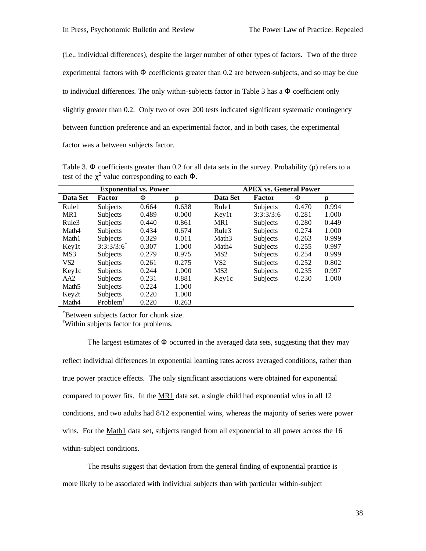(i.e., individual differences), despite the larger number of other types of factors. Two of the three experimental factors with Φ coefficients greater than 0.2 are between-subjects, and so may be due to individual differences. The only within-subjects factor in Table 3 has a  $\Phi$  coefficient only slightly greater than 0.2. Only two of over 200 tests indicated significant systematic contingency between function preference and an experimental factor, and in both cases, the experimental factor was a between subjects factor.

Table 3.  $\Phi$  coefficients greater than 0.2 for all data sets in the survey. Probability (p) refers to a test of the  $\chi^2$  value corresponding to each  $\Phi$ .

|                   | <b>Exponential vs. Power</b> |       |       | <b>APEX vs. General Power</b> |           |       |       |  |  |
|-------------------|------------------------------|-------|-------|-------------------------------|-----------|-------|-------|--|--|
| Data Set          | <b>Factor</b>                | F     | p     | Data Set                      | Factor    | F     | p     |  |  |
| Rule1             | Subjects                     | 0.664 | 0.638 | Rule1                         | Subjects  | 0.470 | 0.994 |  |  |
| MR1               | Subjects                     | 0.489 | 0.000 | Key1t                         | 3:3:3/3:6 | 0.281 | 1.000 |  |  |
| Rule3             | Subjects                     | 0.440 | 0.861 | MR1                           | Subjects  | 0.280 | 0.449 |  |  |
| Math4             | Subjects                     | 0.434 | 0.674 | Rule3                         | Subjects  | 0.274 | 1.000 |  |  |
| Math1             | Subjects                     | 0.329 | 0.011 | Math <sub>3</sub>             | Subjects  | 0.263 | 0.999 |  |  |
| Keylt             | 3:3:3/3:6                    | 0.307 | 1.000 | Math4                         | Subjects  | 0.255 | 0.997 |  |  |
| MS3               | Subjects                     | 0.279 | 0.975 | MS <sub>2</sub>               | Subjects  | 0.254 | 0.999 |  |  |
| VS <sub>2</sub>   | Subjects                     | 0.261 | 0.275 | VS <sub>2</sub>               | Subjects  | 0.252 | 0.802 |  |  |
| Keylc             | Subjects                     | 0.244 | 1.000 | MS3                           | Subjects  | 0.235 | 0.997 |  |  |
| AA2               | Subjects                     | 0.231 | 0.881 | Keylc                         | Subjects  | 0.230 | 1.000 |  |  |
| Math <sub>5</sub> | Subjects                     | 0.224 | 1.000 |                               |           |       |       |  |  |
| Key2t             | Subjects                     | 0.220 | 1.000 |                               |           |       |       |  |  |
| Math4             | Problem <sup>†</sup>         | 0.220 | 0.263 |                               |           |       |       |  |  |

\*Between subjects factor for chunk size.

†Within subjects factor for problems.

The largest estimates of  $\Phi$  occurred in the averaged data sets, suggesting that they may reflect individual differences in exponential learning rates across averaged conditions, rather than true power practice effects. The only significant associations were obtained for exponential compared to power fits. In the  $MR1$  data set, a single child had exponential wins in all 12 conditions, and two adults had 8/12 exponential wins, whereas the majority of series were power wins. For the Math1 data set, subjects ranged from all exponential to all power across the 16 within-subject conditions.

The results suggest that deviation from the general finding of exponential practice is more likely to be associated with individual subjects than with particular within-subject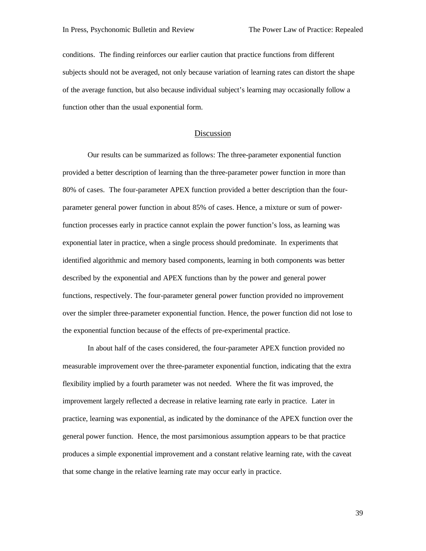conditions. The finding reinforces our earlier caution that practice functions from different subjects should not be averaged, not only because variation of learning rates can distort the shape of the average function, but also because individual subject's learning may occasionally follow a function other than the usual exponential form.

### Discussion

Our results can be summarized as follows: The three-parameter exponential function provided a better description of learning than the three-parameter power function in more than 80% of cases. The four-parameter APEX function provided a better description than the fourparameter general power function in about 85% of cases. Hence, a mixture or sum of powerfunction processes early in practice cannot explain the power function's loss, as learning was exponential later in practice, when a single process should predominate. In experiments that identified algorithmic and memory based components, learning in both components was better described by the exponential and APEX functions than by the power and general power functions, respectively. The four-parameter general power function provided no improvement over the simpler three-parameter exponential function. Hence, the power function did not lose to the exponential function because of the effects of pre-experimental practice.

In about half of the cases considered, the four-parameter APEX function provided no measurable improvement over the three-parameter exponential function, indicating that the extra flexibility implied by a fourth parameter was not needed. Where the fit was improved, the improvement largely reflected a decrease in relative learning rate early in practice. Later in practice, learning was exponential, as indicated by the dominance of the APEX function over the general power function. Hence, the most parsimonious assumption appears to be that practice produces a simple exponential improvement and a constant relative learning rate, with the caveat that some change in the relative learning rate may occur early in practice.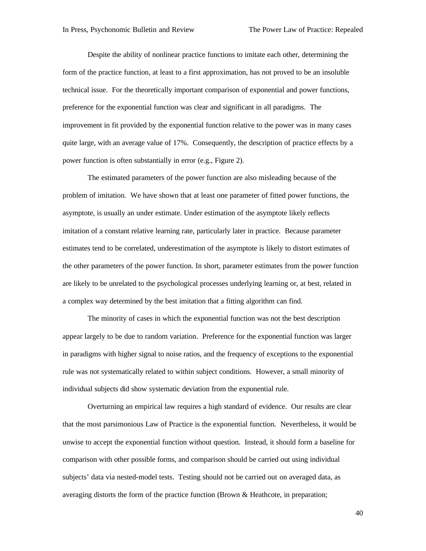Despite the ability of nonlinear practice functions to imitate each other, determining the form of the practice function, at least to a first approximation, has not proved to be an insoluble technical issue. For the theoretically important comparison of exponential and power functions, preference for the exponential function was clear and significant in all paradigms. The improvement in fit provided by the exponential function relative to the power was in many cases quite large, with an average value of 17%. Consequently, the description of practice effects by a power function is often substantially in error (e.g., Figure 2).

The estimated parameters of the power function are also misleading because of the problem of imitation. We have shown that at least one parameter of fitted power functions, the asymptote, is usually an under estimate. Under estimation of the asymptote likely reflects imitation of a constant relative learning rate, particularly later in practice. Because parameter estimates tend to be correlated, underestimation of the asymptote is likely to distort estimates of the other parameters of the power function. In short, parameter estimates from the power function are likely to be unrelated to the psychological processes underlying learning or, at best, related in a complex way determined by the best imitation that a fitting algorithm can find.

The minority of cases in which the exponential function was not the best description appear largely to be due to random variation. Preference for the exponential function was larger in paradigms with higher signal to noise ratios, and the frequency of exceptions to the exponential rule was not systematically related to within subject conditions. However, a small minority of individual subjects did show systematic deviation from the exponential rule.

Overturning an empirical law requires a high standard of evidence. Our results are clear that the most parsimonious Law of Practice is the exponential function. Nevertheless, it would be unwise to accept the exponential function without question. Instead, it should form a baseline for comparison with other possible forms, and comparison should be carried out using individual subjects' data via nested-model tests. Testing should not be carried out on averaged data, as averaging distorts the form of the practice function (Brown & Heathcote, in preparation;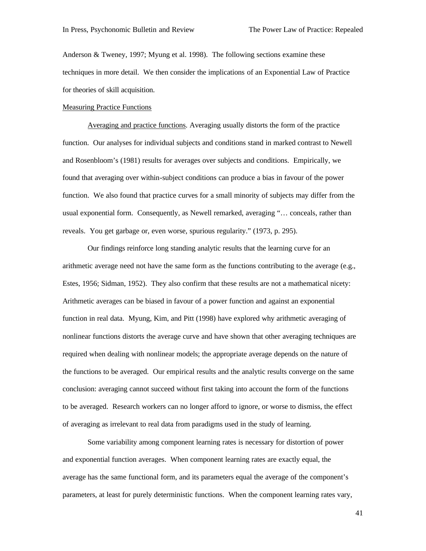Anderson & Tweney, 1997; Myung et al. 1998). The following sections examine these techniques in more detail. We then consider the implications of an Exponential Law of Practice for theories of skill acquisition.

#### Measuring Practice Functions

Averaging and practice functions. Averaging usually distorts the form of the practice function. Our analyses for individual subjects and conditions stand in marked contrast to Newell and Rosenbloom's (1981) results for averages over subjects and conditions. Empirically, we found that averaging over within-subject conditions can produce a bias in favour of the power function. We also found that practice curves for a small minority of subjects may differ from the usual exponential form. Consequently, as Newell remarked, averaging "… conceals, rather than reveals. You get garbage or, even worse, spurious regularity." (1973, p. 295).

Our findings reinforce long standing analytic results that the learning curve for an arithmetic average need not have the same form as the functions contributing to the average (e.g., Estes, 1956; Sidman, 1952). They also confirm that these results are not a mathematical nicety: Arithmetic averages can be biased in favour of a power function and against an exponential function in real data. Myung, Kim, and Pitt (1998) have explored why arithmetic averaging of nonlinear functions distorts the average curve and have shown that other averaging techniques are required when dealing with nonlinear models; the appropriate average depends on the nature of the functions to be averaged. Our empirical results and the analytic results converge on the same conclusion: averaging cannot succeed without first taking into account the form of the functions to be averaged. Research workers can no longer afford to ignore, or worse to dismiss, the effect of averaging as irrelevant to real data from paradigms used in the study of learning.

Some variability among component learning rates is necessary for distortion of power and exponential function averages. When component learning rates are exactly equal, the average has the same functional form, and its parameters equal the average of the component's parameters, at least for purely deterministic functions. When the component learning rates vary,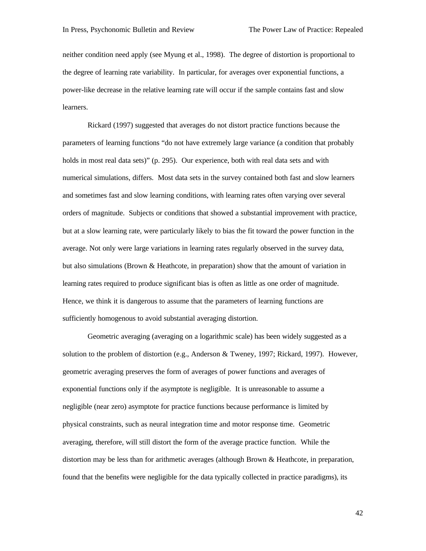neither condition need apply (see Myung et al., 1998). The degree of distortion is proportional to the degree of learning rate variability. In particular, for averages over exponential functions, a power-like decrease in the relative learning rate will occur if the sample contains fast and slow learners.

Rickard (1997) suggested that averages do not distort practice functions because the parameters of learning functions "do not have extremely large variance (a condition that probably holds in most real data sets)" (p. 295). Our experience, both with real data sets and with numerical simulations, differs. Most data sets in the survey contained both fast and slow learners and sometimes fast and slow learning conditions, with learning rates often varying over several orders of magnitude. Subjects or conditions that showed a substantial improvement with practice, but at a slow learning rate, were particularly likely to bias the fit toward the power function in the average. Not only were large variations in learning rates regularly observed in the survey data, but also simulations (Brown & Heathcote, in preparation) show that the amount of variation in learning rates required to produce significant bias is often as little as one order of magnitude. Hence, we think it is dangerous to assume that the parameters of learning functions are sufficiently homogenous to avoid substantial averaging distortion.

Geometric averaging (averaging on a logarithmic scale) has been widely suggested as a solution to the problem of distortion (e.g., Anderson & Tweney, 1997; Rickard, 1997). However, geometric averaging preserves the form of averages of power functions and averages of exponential functions only if the asymptote is negligible. It is unreasonable to assume a negligible (near zero) asymptote for practice functions because performance is limited by physical constraints, such as neural integration time and motor response time. Geometric averaging, therefore, will still distort the form of the average practice function. While the distortion may be less than for arithmetic averages (although Brown & Heathcote, in preparation, found that the benefits were negligible for the data typically collected in practice paradigms), its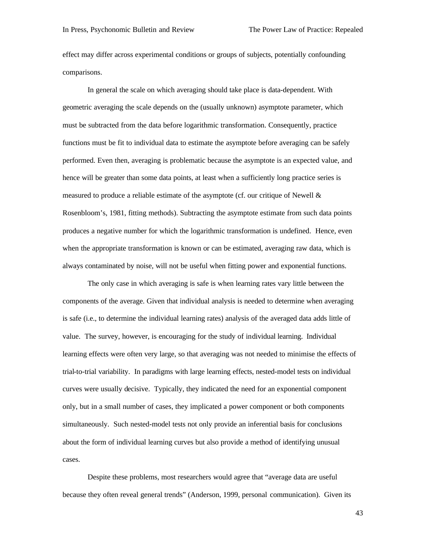effect may differ across experimental conditions or groups of subjects, potentially confounding comparisons.

In general the scale on which averaging should take place is data-dependent. With geometric averaging the scale depends on the (usually unknown) asymptote parameter, which must be subtracted from the data before logarithmic transformation. Consequently, practice functions must be fit to individual data to estimate the asymptote before averaging can be safely performed. Even then, averaging is problematic because the asymptote is an expected value, and hence will be greater than some data points, at least when a sufficiently long practice series is measured to produce a reliable estimate of the asymptote (cf. our critique of Newell  $\&$ Rosenbloom's, 1981, fitting methods). Subtracting the asymptote estimate from such data points produces a negative number for which the logarithmic transformation is undefined. Hence, even when the appropriate transformation is known or can be estimated, averaging raw data, which is always contaminated by noise, will not be useful when fitting power and exponential functions.

The only case in which averaging is safe is when learning rates vary little between the components of the average. Given that individual analysis is needed to determine when averaging is safe (i.e., to determine the individual learning rates) analysis of the averaged data adds little of value. The survey, however, is encouraging for the study of individual learning. Individual learning effects were often very large, so that averaging was not needed to minimise the effects of trial-to-trial variability. In paradigms with large learning effects, nested-model tests on individual curves were usually decisive. Typically, they indicated the need for an exponential component only, but in a small number of cases, they implicated a power component or both components simultaneously. Such nested-model tests not only provide an inferential basis for conclusions about the form of individual learning curves but also provide a method of identifying unusual cases.

Despite these problems, most researchers would agree that "average data are useful because they often reveal general trends" (Anderson, 1999, personal communication). Given its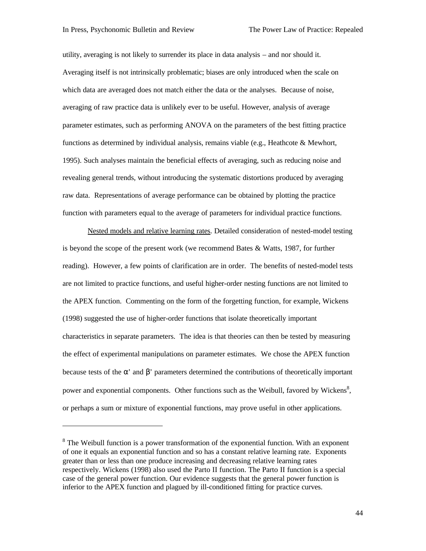l

utility, averaging is not likely to surrender its place in data analysis – and nor should it. Averaging itself is not intrinsically problematic; biases are only introduced when the scale on which data are averaged does not match either the data or the analyses. Because of noise, averaging of raw practice data is unlikely ever to be useful. However, analysis of average parameter estimates, such as performing ANOVA on the parameters of the best fitting practice functions as determined by individual analysis, remains viable (e.g., Heathcote & Mewhort, 1995). Such analyses maintain the beneficial effects of averaging, such as reducing noise and revealing general trends, without introducing the systematic distortions produced by averaging raw data. Representations of average performance can be obtained by plotting the practice function with parameters equal to the average of parameters for individual practice functions.

Nested models and relative learning rates. Detailed consideration of nested-model testing is beyond the scope of the present work (we recommend Bates & Watts, 1987, for further reading). However, a few points of clarification are in order. The benefits of nested-model tests are not limited to practice functions, and useful higher-order nesting functions are not limited to the APEX function. Commenting on the form of the forgetting function, for example, Wickens (1998) suggested the use of higher-order functions that isolate theoretically important characteristics in separate parameters. The idea is that theories can then be tested by measuring the effect of experimental manipulations on parameter estimates. We chose the APEX function because tests of the  $\alpha'$  and  $\beta'$  parameters determined the contributions of theoretically important power and exponential components. Other functions such as the Weibull, favored by Wickens<sup>8</sup>, or perhaps a sum or mixture of exponential functions, may prove useful in other applications.

 $8$  The Weibull function is a power transformation of the exponential function. With an exponent of one it equals an exponential function and so has a constant relative learning rate. Exponents greater than or less than one produce increasing and decreasing relative learning rates respectively. Wickens (1998) also used the Parto II function. The Parto II function is a special case of the general power function. Our evidence suggests that the general power function is inferior to the APEX function and plagued by ill-conditioned fitting for practice curves.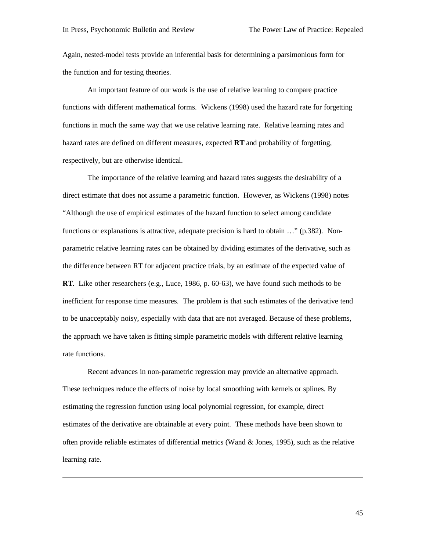$\overline{a}$ 

Again, nested-model tests provide an inferential basis for determining a parsimonious form for the function and for testing theories.

An important feature of our work is the use of relative learning to compare practice functions with different mathematical forms. Wickens (1998) used the hazard rate for forgetting functions in much the same way that we use relative learning rate. Relative learning rates and hazard rates are defined on different measures, expected **RT** and probability of forgetting, respectively, but are otherwise identical.

The importance of the relative learning and hazard rates suggests the desirability of a direct estimate that does not assume a parametric function. However, as Wickens (1998) notes "Although the use of empirical estimates of the hazard function to select among candidate functions or explanations is attractive, adequate precision is hard to obtain …" (p.382). Nonparametric relative learning rates can be obtained by dividing estimates of the derivative, such as the difference between RT for adjacent practice trials, by an estimate of the expected value of **RT**. Like other researchers (e.g., Luce, 1986, p. 60-63), we have found such methods to be inefficient for response time measures. The problem is that such estimates of the derivative tend to be unacceptably noisy, especially with data that are not averaged. Because of these problems, the approach we have taken is fitting simple parametric models with different relative learning rate functions.

Recent advances in non-parametric regression may provide an alternative approach. These techniques reduce the effects of noise by local smoothing with kernels or splines. By estimating the regression function using local polynomial regression, for example, direct estimates of the derivative are obtainable at every point. These methods have been shown to often provide reliable estimates of differential metrics (Wand & Jones, 1995), such as the relative learning rate.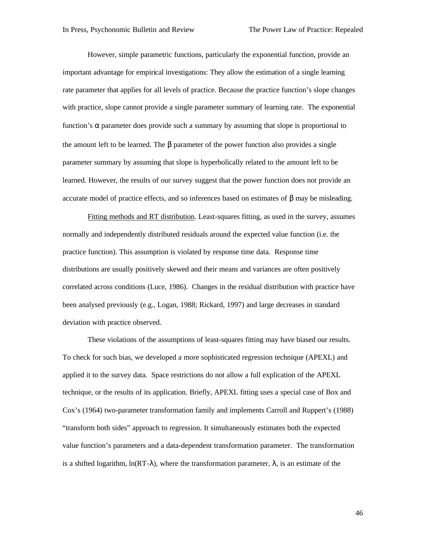However, simple parametric functions, particularly the exponential function, provide an important advantage for empirical investigations: They allow the estimation of a single learning rate parameter that applies for all levels of practice. Because the practice function's slope changes with practice, slope cannot provide a single parameter summary of learning rate. The exponential function's  $\alpha$  parameter does provide such a summary by assuming that slope is proportional to the amount left to be learned. The  $\beta$  parameter of the power function also provides a single parameter summary by assuming that slope is hyperbolically related to the amount left to be learned. However, the results of our survey suggest that the power function does not provide an accurate model of practice effects, and so inferences based on estimates of β may be misleading.

Fitting methods and RT distribution. Least-squares fitting, as used in the survey, assumes normally and independently distributed residuals around the expected value function (i.e. the practice function). This assumption is violated by response time data. Response time distributions are usually positively skewed and their means and variances are often positively correlated across conditions (Luce, 1986). Changes in the residual distribution with practice have been analysed previously (e.g., Logan, 1988; Rickard, 1997) and large decreases in standard deviation with practice observed.

These violations of the assumptions of least-squares fitting may have biased our results. To check for such bias, we developed a more sophisticated regression technique (APEXL) and applied it to the survey data. Space restrictions do not allow a full explication of the APEXL technique, or the results of its application. Briefly, APEXL fitting uses a special case of Box and Cox's (1964) two-parameter transformation family and implements Carroll and Ruppert's (1988) "transform both sides" approach to regression. It simultaneously estimates both the expected value function's parameters and a data-dependent transformation parameter. The transformation is a shifted logarithm,  $\ln(RT-\lambda)$ , where the transformation parameter,  $\lambda$ , is an estimate of the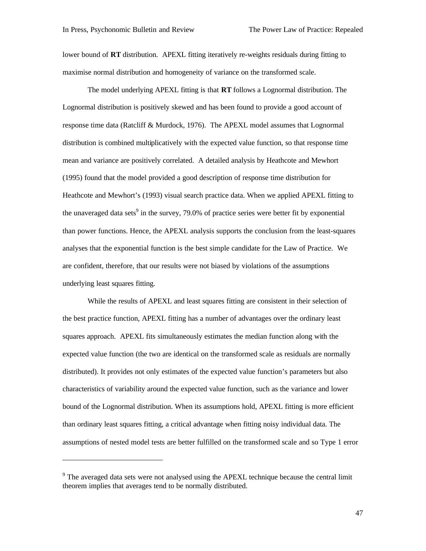lower bound of **RT** distribution. APEXL fitting iteratively re-weights residuals during fitting to maximise normal distribution and homogeneity of variance on the transformed scale.

The model underlying APEXL fitting is that **RT** follows a Lognormal distribution. The Lognormal distribution is positively skewed and has been found to provide a good account of response time data (Ratcliff & Murdock, 1976). The APEXL model assumes that Lognormal distribution is combined multiplicatively with the expected value function, so that response time mean and variance are positively correlated. A detailed analysis by Heathcote and Mewhort (1995) found that the model provided a good description of response time distribution for Heathcote and Mewhort's (1993) visual search practice data. When we applied APEXL fitting to the unaveraged data sets<sup>9</sup> in the survey, 79.0% of practice series were better fit by exponential than power functions. Hence, the APEXL analysis supports the conclusion from the least-squares analyses that the exponential function is the best simple candidate for the Law of Practice. We are confident, therefore, that our results were not biased by violations of the assumptions underlying least squares fitting.

While the results of APEXL and least squares fitting are consistent in their selection of the best practice function, APEXL fitting has a number of advantages over the ordinary least squares approach. APEXL fits simultaneously estimates the median function along with the expected value function (the two are identical on the transformed scale as residuals are normally distributed). It provides not only estimates of the expected value function's parameters but also characteristics of variability around the expected value function, such as the variance and lower bound of the Lognormal distribution. When its assumptions hold, APEXL fitting is more efficient than ordinary least squares fitting, a critical advantage when fitting noisy individual data. The assumptions of nested model tests are better fulfilled on the transformed scale and so Type 1 error

 $\overline{a}$ 

<sup>&</sup>lt;sup>9</sup> The averaged data sets were not analysed using the APEXL technique because the central limit theorem implies that averages tend to be normally distributed.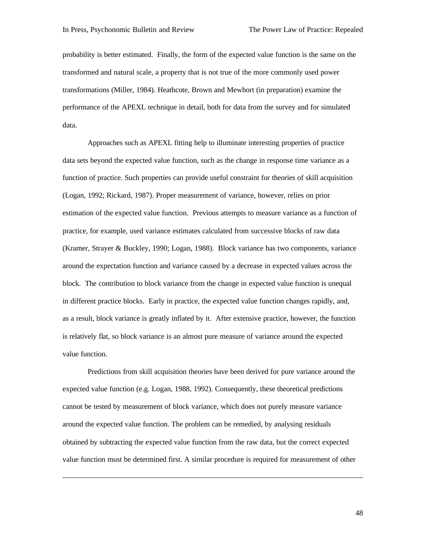$\overline{a}$ 

probability is better estimated. Finally, the form of the expected value function is the same on the transformed and natural scale, a property that is not true of the more commonly used power transformations (Miller, 1984). Heathcote, Brown and Mewhort (in preparation) examine the performance of the APEXL technique in detail, both for data from the survey and for simulated data.

Approaches such as APEXL fitting help to illuminate interesting properties of practice data sets beyond the expected value function, such as the change in response time variance as a function of practice. Such properties can provide useful constraint for theories of skill acquisition (Logan, 1992; Rickard, 1987). Proper measurement of variance, however, relies on prior estimation of the expected value function. Previous attempts to measure variance as a function of practice, for example, used variance estimates calculated from successive blocks of raw data (Kramer, Strayer & Buckley, 1990; Logan, 1988). Block variance has two components, variance around the expectation function and variance caused by a decrease in expected values across the block. The contribution to block variance from the change in expected value function is unequal in different practice blocks. Early in practice, the expected value function changes rapidly, and, as a result, block variance is greatly inflated by it. After extensive practice, however, the function is relatively flat, so block variance is an almost pure measure of variance around the expected value function.

Predictions from skill acquisition theories have been derived for pure variance around the expected value function (e.g. Logan, 1988, 1992). Consequently, these theoretical predictions cannot be tested by measurement of block variance, which does not purely measure variance around the expected value function. The problem can be remedied, by analysing residuals obtained by subtracting the expected value function from the raw data, but the correct expected value function must be determined first. A similar procedure is required for measurement of other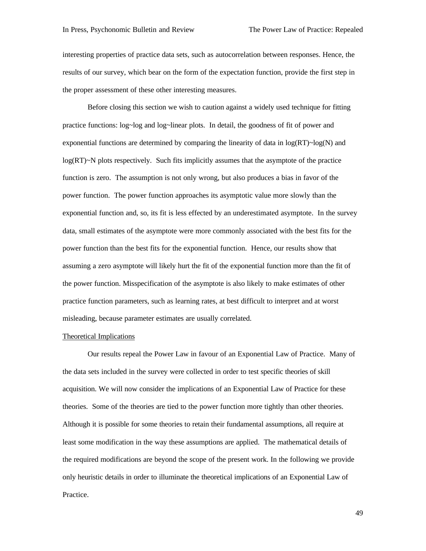interesting properties of practice data sets, such as autocorrelation between responses. Hence, the results of our survey, which bear on the form of the expectation function, provide the first step in the proper assessment of these other interesting measures.

Before closing this section we wish to caution against a widely used technique for fitting practice functions: log~log and log~linear plots. In detail, the goodness of fit of power and exponential functions are determined by comparing the linearity of data in  $log(RT)$ ~log(N) and log(RT)~N plots respectively. Such fits implicitly assumes that the asymptote of the practice function is zero. The assumption is not only wrong, but also produces a bias in favor of the power function. The power function approaches its asymptotic value more slowly than the exponential function and, so, its fit is less effected by an underestimated asymptote. In the survey data, small estimates of the asymptote were more commonly associated with the best fits for the power function than the best fits for the exponential function. Hence, our results show that assuming a zero asymptote will likely hurt the fit of the exponential function more than the fit of the power function. Misspecification of the asymptote is also likely to make estimates of other practice function parameters, such as learning rates, at best difficult to interpret and at worst misleading, because parameter estimates are usually correlated.

#### Theoretical Implications

Our results repeal the Power Law in favour of an Exponential Law of Practice. Many of the data sets included in the survey were collected in order to test specific theories of skill acquisition. We will now consider the implications of an Exponential Law of Practice for these theories. Some of the theories are tied to the power function more tightly than other theories. Although it is possible for some theories to retain their fundamental assumptions, all require at least some modification in the way these assumptions are applied. The mathematical details of the required modifications are beyond the scope of the present work. In the following we provide only heuristic details in order to illuminate the theoretical implications of an Exponential Law of Practice.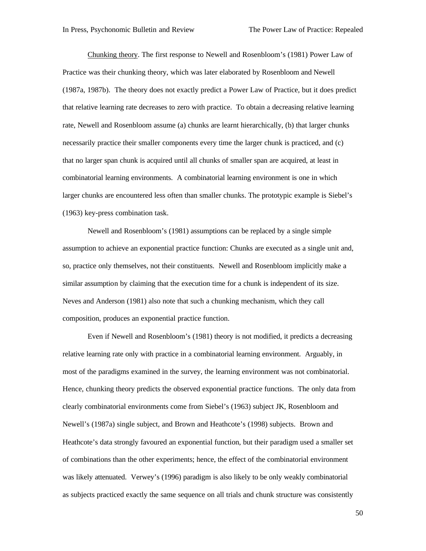Chunking theory. The first response to Newell and Rosenbloom's (1981) Power Law of Practice was their chunking theory, which was later elaborated by Rosenbloom and Newell (1987a, 1987b). The theory does not exactly predict a Power Law of Practice, but it does predict that relative learning rate decreases to zero with practice. To obtain a decreasing relative learning rate, Newell and Rosenbloom assume (a) chunks are learnt hierarchically, (b) that larger chunks necessarily practice their smaller components every time the larger chunk is practiced, and (c) that no larger span chunk is acquired until all chunks of smaller span are acquired, at least in combinatorial learning environments. A combinatorial learning environment is one in which larger chunks are encountered less often than smaller chunks. The prototypic example is Siebel's (1963) key-press combination task.

Newell and Rosenbloom's (1981) assumptions can be replaced by a single simple assumption to achieve an exponential practice function: Chunks are executed as a single unit and, so, practice only themselves, not their constituents. Newell and Rosenbloom implicitly make a similar assumption by claiming that the execution time for a chunk is independent of its size. Neves and Anderson (1981) also note that such a chunking mechanism, which they call composition, produces an exponential practice function.

Even if Newell and Rosenbloom's (1981) theory is not modified, it predicts a decreasing relative learning rate only with practice in a combinatorial learning environment. Arguably, in most of the paradigms examined in the survey, the learning environment was not combinatorial. Hence, chunking theory predicts the observed exponential practice functions. The only data from clearly combinatorial environments come from Siebel's (1963) subject JK, Rosenbloom and Newell's (1987a) single subject, and Brown and Heathcote's (1998) subjects. Brown and Heathcote's data strongly favoured an exponential function, but their paradigm used a smaller set of combinations than the other experiments; hence, the effect of the combinatorial environment was likely attenuated. Verwey's (1996) paradigm is also likely to be only weakly combinatorial as subjects practiced exactly the same sequence on all trials and chunk structure was consistently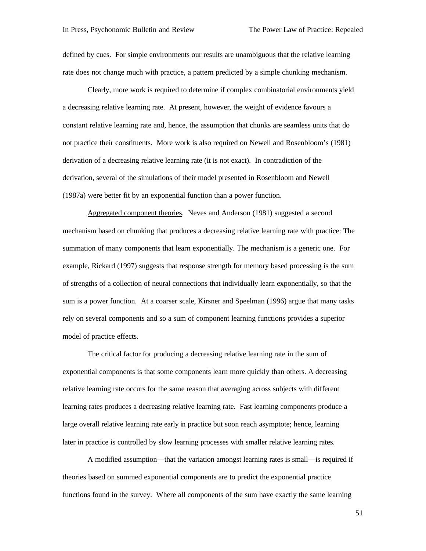defined by cues. For simple environments our results are unambiguous that the relative learning rate does not change much with practice, a pattern predicted by a simple chunking mechanism.

Clearly, more work is required to determine if complex combinatorial environments yield a decreasing relative learning rate. At present, however, the weight of evidence favours a constant relative learning rate and, hence, the assumption that chunks are seamless units that do not practice their constituents. More work is also required on Newell and Rosenbloom's (1981) derivation of a decreasing relative learning rate (it is not exact). In contradiction of the derivation, several of the simulations of their model presented in Rosenbloom and Newell (1987a) were better fit by an exponential function than a power function.

Aggregated component theories. Neves and Anderson (1981) suggested a second mechanism based on chunking that produces a decreasing relative learning rate with practice: The summation of many components that learn exponentially. The mechanism is a generic one. For example, Rickard (1997) suggests that response strength for memory based processing is the sum of strengths of a collection of neural connections that individually learn exponentially, so that the sum is a power function. At a coarser scale, Kirsner and Speelman (1996) argue that many tasks rely on several components and so a sum of component learning functions provides a superior model of practice effects.

The critical factor for producing a decreasing relative learning rate in the sum of exponential components is that some components learn more quickly than others. A decreasing relative learning rate occurs for the same reason that averaging across subjects with different learning rates produces a decreasing relative learning rate. Fast learning components produce a large overall relative learning rate early in practice but soon reach asymptote; hence, learning later in practice is controlled by slow learning processes with smaller relative learning rates.

A modified assumption—that the variation amongst learning rates is small—is required if theories based on summed exponential components are to predict the exponential practice functions found in the survey. Where all components of the sum have exactly the same learning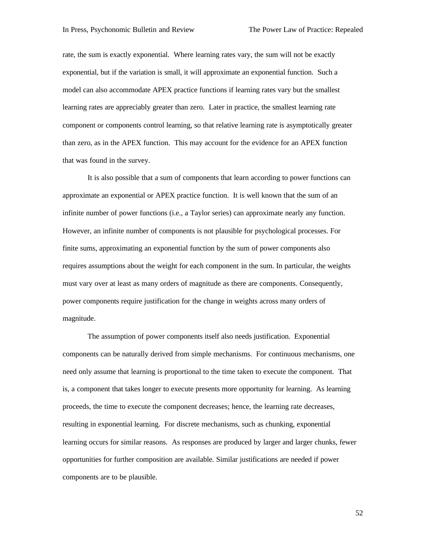rate, the sum is exactly exponential. Where learning rates vary, the sum will not be exactly exponential, but if the variation is small, it will approximate an exponential function. Such a model can also accommodate APEX practice functions if learning rates vary but the smallest learning rates are appreciably greater than zero. Later in practice, the smallest learning rate component or components control learning, so that relative learning rate is asymptotically greater than zero, as in the APEX function. This may account for the evidence for an APEX function that was found in the survey.

It is also possible that a sum of components that learn according to power functions can approximate an exponential or APEX practice function. It is well known that the sum of an infinite number of power functions (i.e., a Taylor series) can approximate nearly any function. However, an infinite number of components is not plausible for psychological processes. For finite sums, approximating an exponential function by the sum of power components also requires assumptions about the weight for each component in the sum. In particular, the weights must vary over at least as many orders of magnitude as there are components. Consequently, power components require justification for the change in weights across many orders of magnitude.

The assumption of power components itself also needs justification. Exponential components can be naturally derived from simple mechanisms. For continuous mechanisms, one need only assume that learning is proportional to the time taken to execute the component. That is, a component that takes longer to execute presents more opportunity for learning. As learning proceeds, the time to execute the component decreases; hence, the learning rate decreases, resulting in exponential learning. For discrete mechanisms, such as chunking, exponential learning occurs for similar reasons. As responses are produced by larger and larger chunks, fewer opportunities for further composition are available. Similar justifications are needed if power components are to be plausible.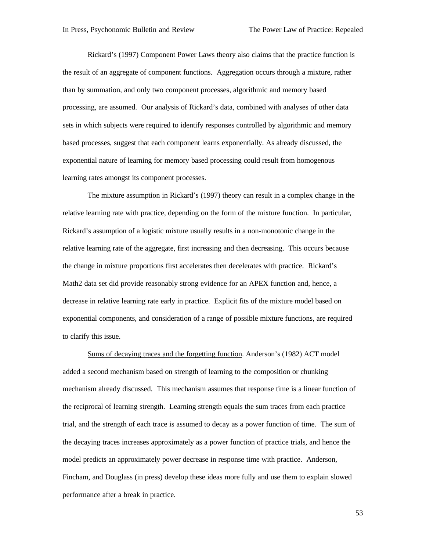Rickard's (1997) Component Power Laws theory also claims that the practice function is the result of an aggregate of component functions. Aggregation occurs through a mixture, rather than by summation, and only two component processes, algorithmic and memory based processing, are assumed. Our analysis of Rickard's data, combined with analyses of other data sets in which subjects were required to identify responses controlled by algorithmic and memory based processes, suggest that each component learns exponentially. As already discussed, the exponential nature of learning for memory based processing could result from homogenous learning rates amongst its component processes.

The mixture assumption in Rickard's (1997) theory can result in a complex change in the relative learning rate with practice, depending on the form of the mixture function. In particular, Rickard's assumption of a logistic mixture usually results in a non-monotonic change in the relative learning rate of the aggregate, first increasing and then decreasing. This occurs because the change in mixture proportions first accelerates then decelerates with practice. Rickard's Math2 data set did provide reasonably strong evidence for an APEX function and, hence, a decrease in relative learning rate early in practice. Explicit fits of the mixture model based on exponential components, and consideration of a range of possible mixture functions, are required to clarify this issue.

Sums of decaying traces and the forgetting function. Anderson's (1982) ACT model added a second mechanism based on strength of learning to the composition or chunking mechanism already discussed. This mechanism assumes that response time is a linear function of the reciprocal of learning strength. Learning strength equals the sum traces from each practice trial, and the strength of each trace is assumed to decay as a power function of time. The sum of the decaying traces increases approximately as a power function of practice trials, and hence the model predicts an approximately power decrease in response time with practice. Anderson, Fincham, and Douglass (in press) develop these ideas more fully and use them to explain slowed performance after a break in practice.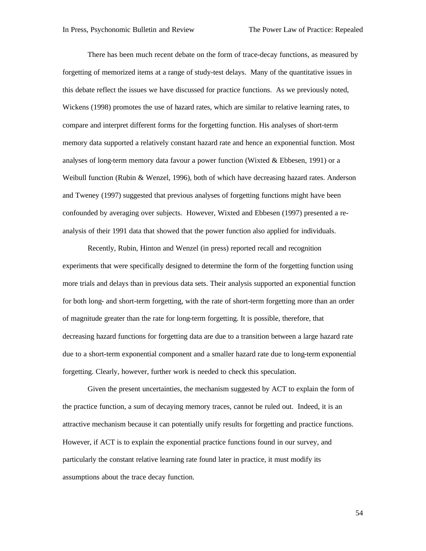There has been much recent debate on the form of trace-decay functions, as measured by forgetting of memorized items at a range of study-test delays. Many of the quantitative issues in this debate reflect the issues we have discussed for practice functions. As we previously noted, Wickens (1998) promotes the use of hazard rates, which are similar to relative learning rates, to compare and interpret different forms for the forgetting function. His analyses of short-term memory data supported a relatively constant hazard rate and hence an exponential function. Most analyses of long-term memory data favour a power function (Wixted  $&$  Ebbesen, 1991) or a Weibull function (Rubin & Wenzel, 1996), both of which have decreasing hazard rates. Anderson and Tweney (1997) suggested that previous analyses of forgetting functions might have been confounded by averaging over subjects. However, Wixted and Ebbesen (1997) presented a reanalysis of their 1991 data that showed that the power function also applied for individuals.

Recently, Rubin, Hinton and Wenzel (in press) reported recall and recognition experiments that were specifically designed to determine the form of the forgetting function using more trials and delays than in previous data sets. Their analysis supported an exponential function for both long- and short-term forgetting, with the rate of short-term forgetting more than an order of magnitude greater than the rate for long-term forgetting. It is possible, therefore, that decreasing hazard functions for forgetting data are due to a transition between a large hazard rate due to a short-term exponential component and a smaller hazard rate due to long-term exponential forgetting. Clearly, however, further work is needed to check this speculation.

Given the present uncertainties, the mechanism suggested by ACT to explain the form of the practice function, a sum of decaying memory traces, cannot be ruled out. Indeed, it is an attractive mechanism because it can potentially unify results for forgetting and practice functions. However, if ACT is to explain the exponential practice functions found in our survey, and particularly the constant relative learning rate found later in practice, it must modify its assumptions about the trace decay function.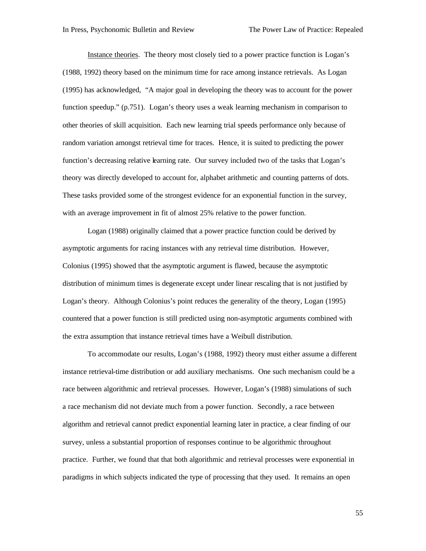Instance theories. The theory most closely tied to a power practice function is Logan's (1988, 1992) theory based on the minimum time for race among instance retrievals. As Logan (1995) has acknowledged, "A major goal in developing the theory was to account for the power function speedup." (p.751). Logan's theory uses a weak learning mechanism in comparison to other theories of skill acquisition. Each new learning trial speeds performance only because of random variation amongst retrieval time for traces. Hence, it is suited to predicting the power function's decreasing relative learning rate. Our survey included two of the tasks that Logan's theory was directly developed to account for, alphabet arithmetic and counting patterns of dots. These tasks provided some of the strongest evidence for an exponential function in the survey, with an average improvement in fit of almost 25% relative to the power function.

Logan (1988) originally claimed that a power practice function could be derived by asymptotic arguments for racing instances with any retrieval time distribution. However, Colonius (1995) showed that the asymptotic argument is flawed, because the asymptotic distribution of minimum times is degenerate except under linear rescaling that is not justified by Logan's theory. Although Colonius's point reduces the generality of the theory, Logan (1995) countered that a power function is still predicted using non-asymptotic arguments combined with the extra assumption that instance retrieval times have a Weibull distribution.

To accommodate our results, Logan's (1988, 1992) theory must either assume a different instance retrieval-time distribution or add auxiliary mechanisms. One such mechanism could be a race between algorithmic and retrieval processes. However, Logan's (1988) simulations of such a race mechanism did not deviate much from a power function. Secondly, a race between algorithm and retrieval cannot predict exponential learning later in practice, a clear finding of our survey, unless a substantial proportion of responses continue to be algorithmic throughout practice. Further, we found that that both algorithmic and retrieval processes were exponential in paradigms in which subjects indicated the type of processing that they used. It remains an open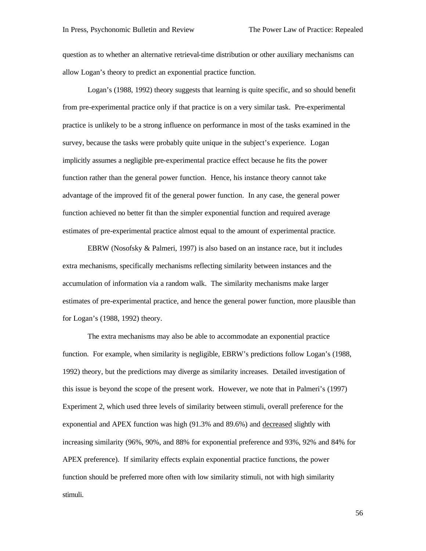question as to whether an alternative retrieval-time distribution or other auxiliary mechanisms can allow Logan's theory to predict an exponential practice function.

Logan's (1988, 1992) theory suggests that learning is quite specific, and so should benefit from pre-experimental practice only if that practice is on a very similar task. Pre-experimental practice is unlikely to be a strong influence on performance in most of the tasks examined in the survey, because the tasks were probably quite unique in the subject's experience. Logan implicitly assumes a negligible pre-experimental practice effect because he fits the power function rather than the general power function. Hence, his instance theory cannot take advantage of the improved fit of the general power function. In any case, the general power function achieved no better fit than the simpler exponential function and required average estimates of pre-experimental practice almost equal to the amount of experimental practice.

EBRW (Nosofsky & Palmeri, 1997) is also based on an instance race, but it includes extra mechanisms, specifically mechanisms reflecting similarity between instances and the accumulation of information via a random walk. The similarity mechanisms make larger estimates of pre-experimental practice, and hence the general power function, more plausible than for Logan's (1988, 1992) theory.

The extra mechanisms may also be able to accommodate an exponential practice function. For example, when similarity is negligible, EBRW's predictions follow Logan's (1988, 1992) theory, but the predictions may diverge as similarity increases. Detailed investigation of this issue is beyond the scope of the present work. However, we note that in Palmeri's (1997) Experiment 2, which used three levels of similarity between stimuli, overall preference for the exponential and APEX function was high (91.3% and 89.6%) and decreased slightly with increasing similarity (96%, 90%, and 88% for exponential preference and 93%, 92% and 84% for APEX preference). If similarity effects explain exponential practice functions, the power function should be preferred more often with low similarity stimuli, not with high similarity stimuli.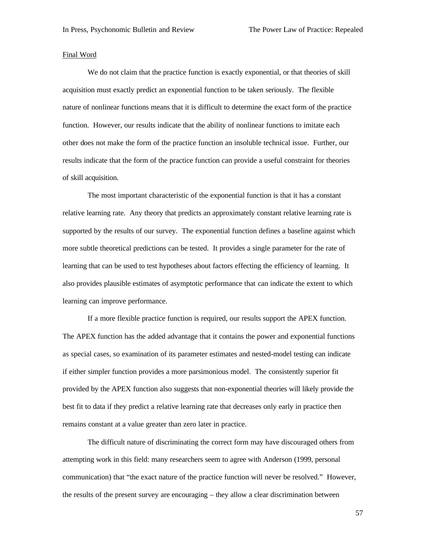#### Final Word

We do not claim that the practice function is exactly exponential, or that theories of skill acquisition must exactly predict an exponential function to be taken seriously. The flexible nature of nonlinear functions means that it is difficult to determine the exact form of the practice function. However, our results indicate that the ability of nonlinear functions to imitate each other does not make the form of the practice function an insoluble technical issue. Further, our results indicate that the form of the practice function can provide a useful constraint for theories of skill acquisition.

The most important characteristic of the exponential function is that it has a constant relative learning rate. Any theory that predicts an approximately constant relative learning rate is supported by the results of our survey. The exponential function defines a baseline against which more subtle theoretical predictions can be tested. It provides a single parameter for the rate of learning that can be used to test hypotheses about factors effecting the efficiency of learning. It also provides plausible estimates of asymptotic performance that can indicate the extent to which learning can improve performance.

If a more flexible practice function is required, our results support the APEX function. The APEX function has the added advantage that it contains the power and exponential functions as special cases, so examination of its parameter estimates and nested-model testing can indicate if either simpler function provides a more parsimonious model. The consistently superior fit provided by the APEX function also suggests that non-exponential theories will likely provide the best fit to data if they predict a relative learning rate that decreases only early in practice then remains constant at a value greater than zero later in practice.

The difficult nature of discriminating the correct form may have discouraged others from attempting work in this field: many researchers seem to agree with Anderson (1999, personal communication) that "the exact nature of the practice function will never be resolved." However, the results of the present survey are encouraging – they allow a clear discrimination between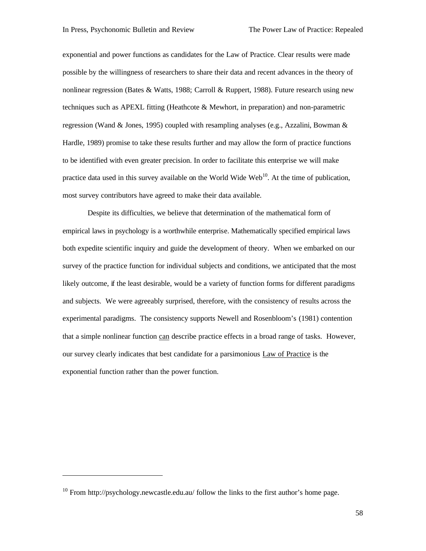exponential and power functions as candidates for the Law of Practice. Clear results were made possible by the willingness of researchers to share their data and recent advances in the theory of nonlinear regression (Bates & Watts, 1988; Carroll & Ruppert, 1988). Future research using new techniques such as APEXL fitting (Heathcote & Mewhort, in preparation) and non-parametric regression (Wand & Jones, 1995) coupled with resampling analyses (e.g., Azzalini, Bowman & Hardle, 1989) promise to take these results further and may allow the form of practice functions to be identified with even greater precision. In order to facilitate this enterprise we will make practice data used in this survey available on the World Wide Web<sup>10</sup>. At the time of publication, most survey contributors have agreed to make their data available.

Despite its difficulties, we believe that determination of the mathematical form of empirical laws in psychology is a worthwhile enterprise. Mathematically specified empirical laws both expedite scientific inquiry and guide the development of theory. When we embarked on our survey of the practice function for individual subjects and conditions, we anticipated that the most likely outcome, if the least desirable, would be a variety of function forms for different paradigms and subjects. We were agreeably surprised, therefore, with the consistency of results across the experimental paradigms. The consistency supports Newell and Rosenbloom's (1981) contention that a simple nonlinear function can describe practice effects in a broad range of tasks. However, our survey clearly indicates that best candidate for a parsimonious Law of Practice is the exponential function rather than the power function.

 $\overline{a}$ 

 $10$  From http://psychology.newcastle.edu.au/ follow the links to the first author's home page.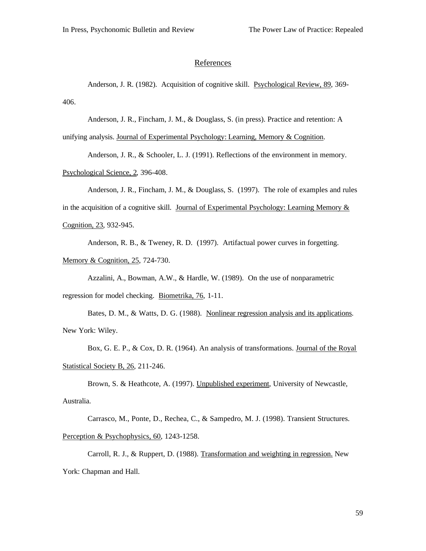#### **References**

Anderson, J. R. (1982). Acquisition of cognitive skill. Psychological Review, 89, 369- 406.

Anderson, J. R., Fincham, J. M., & Douglass, S. (in press). Practice and retention: A

unifying analysis. Journal of Experimental Psychology: Learning, Memory & Cognition.

Anderson, J. R., & Schooler, L. J. (1991). Reflections of the environment in memory. Psychological Science, 2, 396-408.

Anderson, J. R., Fincham, J. M., & Douglass, S. (1997). The role of examples and rules in the acquisition of a cognitive skill. Journal of Experimental Psychology: Learning Memory  $\&$ Cognition, 23, 932-945.

Anderson, R. B., & Tweney, R. D. (1997). Artifactual power curves in forgetting. Memory & Cognition, 25, 724-730.

Azzalini, A., Bowman, A.W., & Hardle, W. (1989). On the use of nonparametric regression for model checking. Biometrika, 76, 1-11.

Bates, D. M., & Watts, D. G. (1988). Nonlinear regression analysis and its applications. New York: Wiley.

Box, G. E. P., & Cox, D. R. (1964). An analysis of transformations. Journal of the Royal Statistical Society B, 26, 211-246.

Brown, S. & Heathcote, A. (1997). Unpublished experiment, University of Newcastle, Australia.

Carrasco, M., Ponte, D., Rechea, C., & Sampedro, M. J. (1998). Transient Structures. Perception & Psychophysics, 60, 1243-1258.

Carroll, R. J., & Ruppert, D. (1988). Transformation and weighting in regression. New York: Chapman and Hall.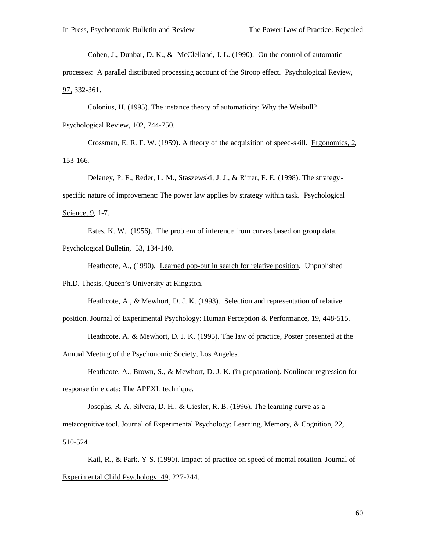Cohen, J., Dunbar, D. K., & McClelland, J. L. (1990). On the control of automatic

processes: A parallel distributed processing account of the Stroop effect. Psychological Review, 97, 332-361.

Colonius, H. (1995). The instance theory of automaticity: Why the Weibull?

Psychological Review, 102, 744-750.

Crossman, E. R. F. W. (1959). A theory of the acquisition of speed-skill. Ergonomics, 2, 153-166.

Delaney, P. F., Reder, L. M., Staszewski, J. J., & Ritter, F. E. (1998). The strategyspecific nature of improvement: The power law applies by strategy within task. Psychological Science, 9, 1-7.

Estes, K. W. (1956). The problem of inference from curves based on group data. Psychological Bulletin, 53, 134-140.

Heathcote, A., (1990). Learned pop-out in search for relative position. Unpublished Ph.D. Thesis, Queen's University at Kingston.

```
Heathcote, A., & Mewhort, D. J. K. (1993). Selection and representation of relative 
position. Journal of Experimental Psychology: Human Perception & Performance, 19, 448-515.
```
Heathcote, A. & Mewhort, D. J. K. (1995). The law of practice, Poster presented at the Annual Meeting of the Psychonomic Society, Los Angeles.

Heathcote, A., Brown, S., & Mewhort, D. J. K. (in preparation). Nonlinear regression for response time data: The APEXL technique.

Josephs, R. A, Silvera, D. H., & Giesler, R. B. (1996). The learning curve as a metacognitive tool. Journal of Experimental Psychology: Learning, Memory, & Cognition, 22, 510-524.

Kail, R., & Park, Y-S. (1990). Impact of practice on speed of mental rotation. Journal of Experimental Child Psychology, 49, 227-244.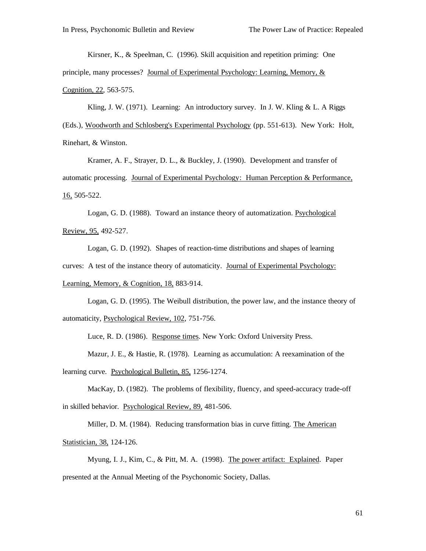Kirsner, K., & Speelman, C. (1996). Skill acquisition and repetition priming: One principle, many processes? Journal of Experimental Psychology: Learning, Memory, &

Cognition, 22, 563-575.

Kling, J. W. (1971). Learning: An introductory survey. In J. W. Kling & L. A Riggs

(Eds.), Woodworth and Schlosberg's Experimental Psychology (pp. 551-613). New York: Holt, Rinehart, & Winston.

Kramer, A. F., Strayer, D. L., & Buckley, J. (1990). Development and transfer of automatic processing. Journal of Experimental Psychology: Human Perception & Performance, 16, 505-522.

Logan, G. D. (1988). Toward an instance theory of automatization. Psychological Review, 95, 492-527.

Logan, G. D. (1992). Shapes of reaction-time distributions and shapes of learning curves: A test of the instance theory of automaticity. Journal of Experimental Psychology: Learning, Memory, & Cognition, 18, 883-914.

Logan, G. D. (1995). The Weibull distribution, the power law, and the instance theory of automaticity, Psychological Review, 102, 751-756.

Luce, R. D. (1986). Response times. New York: Oxford University Press.

Mazur, J. E., & Hastie, R. (1978). Learning as accumulation: A reexamination of the learning curve. Psychological Bulletin, 85, 1256-1274.

MacKay, D. (1982). The problems of flexibility, fluency, and speed-accuracy trade-off in skilled behavior. Psychological Review, 89, 481-506.

Miller, D. M. (1984). Reducing transformation bias in curve fitting. The American Statistician, 38, 124-126.

Myung, I. J., Kim, C., & Pitt, M. A. (1998). The power artifact: Explained. Paper presented at the Annual Meeting of the Psychonomic Society, Dallas.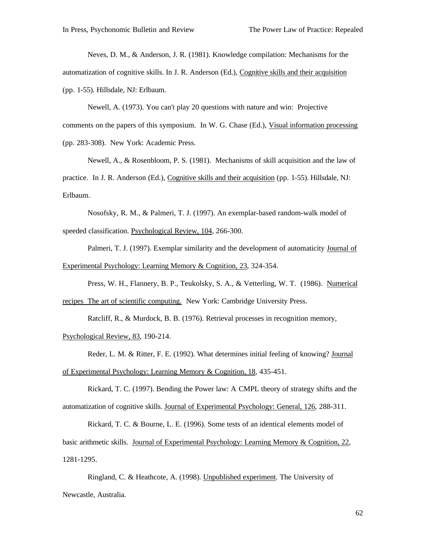Neves, D. M., & Anderson, J. R. (1981). Knowledge compilation: Mechanisms for the automatization of cognitive skills. In J. R. Anderson (Ed.), Cognitive skills and their acquisition (pp. 1-55). Hillsdale, NJ: Erlbaum.

Newell, A. (1973). You can't play 20 questions with nature and win: Projective comments on the papers of this symposium. In W. G. Chase (Ed.), Visual information processing (pp. 283-308). New York: Academic Press.

Newell, A., & Rosenbloom, P. S. (1981). Mechanisms of skill acquisition and the law of practice. In J. R. Anderson (Ed.), Cognitive skills and their acquisition (pp. 1-55). Hillsdale, NJ: Erlbaum.

Nosofsky, R. M., & Palmeri, T. J. (1997). An exemplar-based random-walk model of speeded classification. Psychological Review, 104, 266-300.

Palmeri, T. J. (1997). Exemplar similarity and the development of automaticity Journal of Experimental Psychology: Learning Memory & Cognition, 23, 324-354.

Press, W. H., Flannery, B. P., Teukolsky, S. A., & Vetterling, W. T. (1986). Numerical

recipes The art of scientific computing. New York: Cambridge University Press.

Ratcliff, R., & Murdock, B. B. (1976). Retrieval processes in recognition memory,

Psychological Review, 83, 190-214.

Reder, L. M. & Ritter, F. E. (1992). What determines initial feeling of knowing? Journal of Experimental Psychology: Learning Memory & Cognition, 18, 435-451.

Rickard, T. C. (1997). Bending the Power law: A CMPL theory of strategy shifts and the automatization of cognitive skills. Journal of Experimental Psychology: General, 126, 288-311.

Rickard, T. C. & Bourne, L. E. (1996). Some tests of an identical elements model of basic arithmetic skills. Journal of Experimental Psychology: Learning Memory & Cognition, 22, 1281-1295.

Ringland, C. & Heathcote, A. (1998). Unpublished experiment. The University of Newcastle, Australia.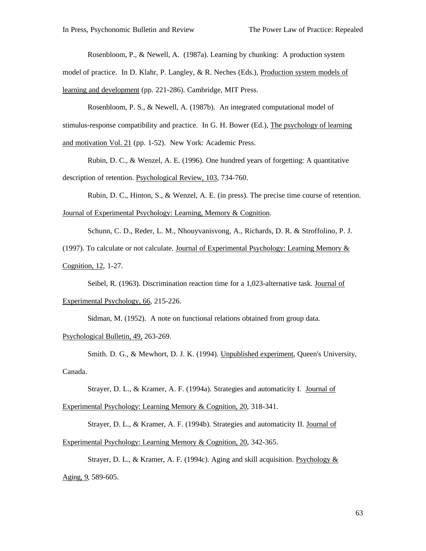Rosenbloom, P., & Newell, A. (1987a). Learning by chunking: A production system

model of practice. In D. Klahr, P. Langley, & R. Neches (Eds.), Production system models of learning and development (pp. 221-286). Cambridge, MIT Press.

Rosenbloom, P. S., & Newell, A. (1987b). An integrated computational model of stimulus-response compatibility and practice. In G. H. Bower (Ed.), The psychology of learning and motivation Vol. 21 (pp. 1-52). New York: Academic Press.

Rubin, D. C., & Wenzel, A. E. (1996). One hundred years of forgetting: A quantitative description of retention. Psychological Review, 103, 734-760.

Rubin, D. C., Hinton, S., & Wenzel, A. E. (in press). The precise time course of retention. Journal of Experimental Psychology: Learning, Memory & Cognition.

Schunn, C. D., Reder, L. M., Nhouyvanisvong, A., Richards, D. R. & Stroffolino, P. J.

(1997). To calculate or not calculate. Journal of Experimental Psychology: Learning Memory  $\&$ Cognition, 12, 1-27.

Seibel, R. (1963). Discrimination reaction time for a 1,023-alternative task. Journal of

Experimental Psychology, 66, 215-226.

Sidman, M. (1952). A note on functional relations obtained from group data.

Psychological Bulletin, 49, 263-269.

Smith. D. G., & Mewhort, D. J. K. (1994). Unpublished experiment, Queen's University, Canada.

Strayer, D. L., & Kramer, A. F. (1994a). Strategies and automaticity I. Journal of

Experimental Psychology: Learning Memory & Cognition, 20, 318-341.

Strayer, D. L., & Kramer, A. F. (1994b). Strategies and automaticity II. Journal of

Experimental Psychology: Learning Memory & Cognition, 20, 342-365.

Strayer, D. L., & Kramer, A. F. (1994c). Aging and skill acquisition. Psychology & Aging, 9, 589-605.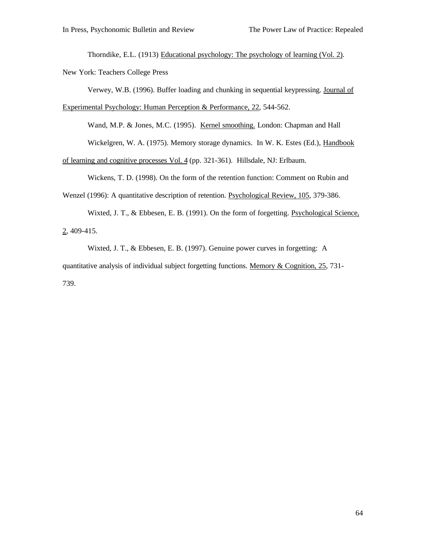Thorndike, E.L. (1913) Educational psychology: The psychology of learning (Vol. 2). New York: Teachers College Press

Verwey, W.B. (1996). Buffer loading and chunking in sequential keypressing. Journal of Experimental Psychology: Human Perception & Performance, 22, 544-562.

Wand, M.P. & Jones, M.C. (1995). Kernel smoothing. London: Chapman and Hall

Wickelgren, W. A. (1975). Memory storage dynamics. In W. K. Estes (Ed.), Handbook

of learning and cognitive processes Vol. 4 (pp. 321-361). Hillsdale, NJ: Erlbaum.

Wickens, T. D. (1998). On the form of the retention function: Comment on Rubin and

Wenzel (1996): A quantitative description of retention. Psychological Review, 105, 379-386.

Wixted, J. T., & Ebbesen, E. B. (1991). On the form of forgetting. Psychological Science,  $2,409-415.$ 

Wixted, J. T., & Ebbesen, E. B. (1997). Genuine power curves in forgetting: A quantitative analysis of individual subject forgetting functions. Memory & Cognition, 25, 731- 739.